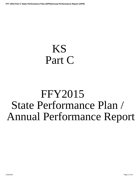# <span id="page-0-0"></span>KS Part C

# FFY2015 State Performance Plan / Annual Performance Report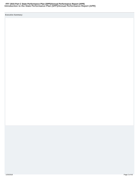#### **Introduction to the State Performance Plan (SPP)/Annual Performance Report (APR) FFY 2015 Part C State Performance Plan (SPP)/Annual Performance Report (APR)**

**Executive Summary:**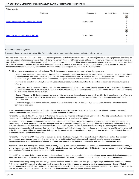| <b>Attachments</b>                            |                      |                      |                |  |  |
|-----------------------------------------------|----------------------|----------------------|----------------|--|--|
| <b>File Name</b>                              | <b>Uploaded By</b>   | <b>Uploaded Date</b> | Remove         |  |  |
|                                               |                      |                      | $\overline{R}$ |  |  |
|                                               |                      |                      | e              |  |  |
| kansas spp apr executive summary ffy 2015.pdf | <b>Heather Staab</b> |                      | m              |  |  |
|                                               |                      |                      | $\Omega$       |  |  |
|                                               |                      |                      | $\mathcal{U}$  |  |  |
|                                               |                      |                      | е              |  |  |
|                                               |                      |                      |                |  |  |
|                                               |                      |                      | e              |  |  |
| kansas icc spp apr certification ffy 2015.pdf | <b>Heather Staab</b> |                      | m              |  |  |
|                                               |                      |                      | $\Omega$       |  |  |
|                                               |                      |                      |                |  |  |
|                                               |                      |                      | e              |  |  |
|                                               |                      |                      |                |  |  |

#### **General Supervision System:**

The systems that are in place to ensure that IDEA Part C requirements are met, e.g., monitoring systems, dispute resolution systems.

As noted in the Kansas monitoring plan and noncompliance procedure included in the state's procedure manual (http://www.ksits.org/guidance\_docs.htm), the state has a documented process which verifies each Early Intervention Services (EIS) program, called local tiny-k programs in Kansas, with noncompliance is correctly implementing the specific regulatory requirements, and has corrected the individual records, although the actions may have not occurred on a timely basis. Kansas' correction standard requires verification of child-specific correction of noncompliance and that each EIS program or provider is correctly implementing the specific regulatory requirements based on a review of subsequent data reflecting 100% compliance.

All EIS programs are monitored for each indicator. The EIS programs in Kansas are known as the local tiny-k programs.

- · Systemic and single-occurrence noncompliance is formally indentified and reported through the state's monitoring process. Most noncompliance is evident through data reports generated from the state's infant-toddler services (ITS) database, although in some instances, noncompliance is identified through parent surveys, informal complaints, local/peer feedback, and other periodic reports submitted to the state.
- · Following the formal identification, Kansas ITS uses subsequent data reports to ensure that the prescribed corrective action is occurring and is effective.
- · In reviewing compliance issues, Kansas ITS tracks data on every child in Kansas by a unique identifier number in the ITS database. No sampling is used to evaluate data in the database. Kansas does have a sampling plan on file with OSEP, but that is only used for periodic random sampling to verify results received through surveys.
- · Kansas ITS uses the ITS Database, parent surveys, provider surveys, semi-annual reports, local tiny-k provider Continuous Improvement Plans and Community Service Plans (part of the annual grant application and contract), and other specialized reports to determine noncompliance and to verify correction.
- · The monitoring plan includes an instituted process of quarterly reviews of the ITS database by Kansas ITS staff to review all data related to compliance indicators.

Steps regarding corrective action plans and action plan tracking and monitoring over the correction time period are defined. Security processes for electronic documents concerning findings of noncompliance have been established.

Kansas ITS has selected the first two weeks of October as the annual review period for the prior fiscal year (July 1 to June 30). More standardized statewide management reports have been and will continue to be developed using the existing data system.

Kansas ITS's general supervision system is reliant on data collection and reporting. Kansas ITS compiles, analyzes, and reports on all of the data that is submitted by local tiny-k programs. Local data entry personnel are responsible for imputing raw data only. Since Part C in Kansas is structured in a way that promotes local control, data entry personnel are not Kansas ITS employees. Therefore, consistency in reporting is a challenge that Kansas ITS continuously addresses through trainings, data validation techniques, and feedback through state-level reports. In addition, Kansas ITS has reviewed and revised its process of tracking and reporting on findings from the annual outside audits of local tiny-k program's lead agencies. The ability to follow-up on any findings found is included in the process.

Kansas ITS contracts with JNI Software, Inc. to maintain the state's database. The system has been effective in collecting and sorting data for reporting purposes, and improvements made over time have greatly enhanced the state's ability to accurately report all compliance data, and support evidence-based practices. An on-line user manual is included as a function in the database. The manual may also be downloaded by users.

Kansas ITS offers data trainings on a periodic basis, currently annually, and also has a contractor-run assistance phone number established for local tiny-k program data managers. In addition, Kansas ITS' contract with the Kansas Inservice Training System (KITS, the technical assistance contractor) addresses interpretations of data that are input into the infant-toddler database.

Kansas ITS also provides definitions and instruction sheets to local tiny-k programs to assist in the creation of semi-annual reports, federal data tables, and local grant applications. These instruction sheets define the parameters Kansas ITS expects with regards to data entry and report requirements.

Consistency in data entry among local data entry personnel has been and will be addressed through ongoing trainings and technical assistance. Kansas ITS' contract with JNI Software, Inc. offers local tiny-k programs the availability of a database specialist anytime a question arises. Kansas ITS staff frequently addresses data definitions and reporting expectations at quarterly coordinator meetings and as-needed webinars. Local staff turnover remains a concern, as new data entry personnel must be trained in using the infant-toddler database on a periodic basis.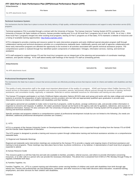**Attachments**

|                                      | $- \cdot \cdot$ | . |
|--------------------------------------|-----------------|---|
| $N_{\Omega}$<br><b>ADE</b><br>$\cap$ |                 |   |

#### **Technical Assistance System:**

The mechanisms that the State has in place to ensure the timely delivery of high quality, evidenced based technical assistance and support to early intervention service (EIS) programs.

Technical assistance (TA) is provided through a contract with the University of Kansas. The Kansas Inservice Training System (KITS) a program of the University of Kansas Life Span Institute at Parsons, Kansas provides training and TA to all 36 local Part C programs (as of June 30, 2016. As of July 1, 2016, three local Part C programs merged into other existing local programs, leaving 33 Part C programs as of that date). KITS maintains a website of resources and a listing of available training opportunities: http://kskits.org/index.shtml.

KITS is designed to provide a training and resource system for early intervention programs and early childhood special education program staff through collaborative training and technical assistance activities on a comprehensive statewide basis. Additionally, parents and staff of agencies collaborating with these early intervention programs are afforded the opportunity to be involved in all activities associated with specific technical assistance projects. The comprehensive system is realized through four identified system components of collaboration / linkages, information services, training, and technical assistance.

KITS staff assigned to support Kansas ITS and the local tiny-k programs are an integral part of the planning and presentation of coordinator meetings, webinars, and specific trainings. KITS staff attend weekly staff meetings of the Kansas ITS staff as scheduling permits.

# **Attachments File Name Uploaded By Uploaded Date** No APR attachments found.

#### **Professional Development System:**

The mechanisms the State has in place to ensure that service providers are effectively providing services that improve results for infants and toddlers with disabilities and their families.

The quality of early intervention staff is the single most important determinant of the quality of a program. KDHE and Kansas Infant-Toddler Services (ITS) ensure access to information to address questions and concerns of providers, parents, and primary referral sources through the provision of training, technical assistance, and consultation locally, regionally, or statewide. Referrals to various statewide resources for information and training are also utilized.

The Kansas ITS program participates in an Early Childhood Higher-education Options (ECHO) state work group and works with the state college and university systems to promote the preparation of early intervention service providers who are fully and appropriately qualified upon graduation to provide early intervention services to infants and toddlers with disabilities and their families.

Lead agency personnel are available to make visits to local tiny-k programs, confer by phone, arrange conference calls, and provide written information in response to concerns and requests. In addition, the state's procedure manual can be found on the agency web site for guidance, references, and sources of additional information. Kansas ITS also contracts with The University of Kansas through the Kansas Inservice Training System (KITS) program for additional training and technical assistance.

Specific activities and programs related to a comprehensive system of professional development include but are not limited to the following: (As needs are identified, additional professional development activities are created.)

#### 1) KITS

KITS is a program of the Kansas University Center on Developmental Disabilities at Parsons and is supported through funding from the Kansas ITS at KDHE and the Kansas State Department of Education.

The KITS project is designed to provide a training and resource system through collaborative training and technical assistance activities on a comprehensive statewide basis.

#### 2) Regional and Statewide Meetings

Regional and statewide early intervention meetings are conducted by the Kansas ITS to provide a regular and ongoing means of technical assistance and training to local programs. These meetings may take place face-to-face, by phone conference, or by webinar. A representative of each local tiny-k program is expected to attend.

#### 3) Kansas Resource Guide

This resource guide is a toll-free help line and web site available to families, providers, referral sources, and others to provide information concerning resources, or to refer calls to a person who can provide the necessary information. The phone line is answered from 8 AM to 5 PM, Monday through Friday on regularly scheduled work days.

#### 4) Families Together, Inc.

Families Together, Inc., (FTI) is a parent training and information center serving families of children and youth with disabilities from birth through age twenty-one. Parents and professionals can find publications, workshops, and other resources to help make decisions about education, vocational training, employment, and other services for their children with disabilities.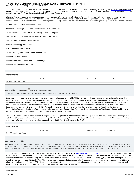5) Participation in the Early Childhood Personnel Center

Kansas is currently engaged with the Early Childhood Personnel Center (ECPC) in intensive technical assistance (TA). Utilizing the ECTA System Framework as a guide, ECPC is ássisting Kansas in evaluating, modifying, and improving state service delivery systems. ECPC provides Kansas technical assistance focusing<br>on the Personnel/Workforce Component of the ECTA System Framework

Intensive TA is a strategic planning process designed to develop a Comprehensive System of Personnel Development that focuses specifically on (a) enhancing knowledge and skills of practitioners, and those who support them, including administrators, TA providers, and faculty; (b) supporting the implementation and sustainability of evidence-based practices; and (c) increasing the size of the workforce skilled in providing inclusive intervention practices.

6) Other Personnel Development Resources

Kansas Coordinating Council on Early Childhood Developmental Services

Sound Beginnings (Kansas Newborn Hearing Screening Program)

The Early Childhood Technical Assistance Center (ECTA Center)

The Technical Assistance System Network

Assistive Technology for Kansans

KSITS Database User Manual

Sound START (Kansas State School for the Deaf)

Kansas Deaf-Blind Project

Kansas Autism and Tertiary Behavior Supports (KISN)

Kansas State School for the Blind

**Attachments**

No APR attachments found.

Stakeholder Involvement: **All apply this to all Part C results indicators** 

The mechanism for soliciting broad stakeholder input on targets in the SPP, including revisions to targets.

Opportunities for broad stakeholder input to assist in reviewing all aspects of the SPP/APR were provided through webinars, state-wide conferences, four quarterly Infant-Toddler local tiny-k coordinator/family service coordinator meetings, public comment opportunities and hearings held regarding the revised procedure manual, and a review of the documents by Kansas' State Interagency Coordinating Council (SICC). Stakeholder representatives on the SICC included parents, local tiny-k service providers, local tiny-k coordinators, the Governor's office, the Kansas State Department of Education, the Kansas Department of Health and Environment (KDHE), Kansas Department for Children and Families (formerly known as the Department for Social and Rehabilitation Services), Head Start, Early Head Start, Kansas Insurance Commission, Parents As Teachers, members of the Kansas Senate and House of Representatives, personnel representing Kansas universities, and public members.

**File Name Uploaded By Uploaded Date**

For the 2013 resetting and potential revision of targets, Kansas ITS presented information and solicited input at two local tiny-k coordinator meetings, at the state Early Childhood Leadership Team, at a meeting of the Family Advocacy Council for the Special Health Services section of KDHE, through e-mails on a state listserve for local coordinators, and has engaged a specific SPP/APR work group of the SICC.

| Attachments               |                  |                    |                      |
|---------------------------|------------------|--------------------|----------------------|
|                           | <b>File Name</b> | <b>Uploaded By</b> | <b>Uploaded Date</b> |
| No APR attachments found. |                  |                    |                      |
|                           |                  |                    |                      |

#### **Reporting to the Public:**

How and where the State reported to the public on the FFY 2014 performance of each EIS Program or Provider located in the State on the targets in the SPP/APR as soon as practicable, but no later than 120 days following the State's submission of its FFY 2014 APR, as required by 34 CFR §303.702(b)(1)(i)(A); and a description of where, on its Web site, a complete copy of the State's SPP, including any revision if the State has revised the SPP that it submitted with its FFY 2014 APR in 2016, is available.

Complete copies of Kansas' SPP/APR are available on the KDHE Part C ITS website at http://www.ksits.org/publications.htm. The SPP/APR is reviewed by the State Interagency Coordinating Council (SICC), and a final copy is provided to the SICC for its use. The most current SPP/APR will be posted to the program website not later than 120 days following the submission of Kansas' APR to OSEP as required by 34 CFR §303.702(b)(1)(i)(A). The data on the performance for each EIS program with regard to the SPP/APR targets can also be accessed at the above link. These performance reports are also posted within 120 days following the submission of Kansas' APR. Local program determinations and data sheets outlining program trends over time on an annual basis are both found on the ITS website. Other public information is available at other times by request.

#### **Attachments**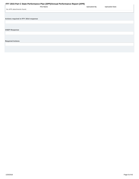<span id="page-5-0"></span>

| FFY 2015 Part C State Performance Plan (SPP)/Annual Performance Report (APR) |                                            |
|------------------------------------------------------------------------------|--------------------------------------------|
| <b>File Name</b>                                                             | <b>Uploaded By</b><br><b>Uploaded Date</b> |
| No APR attachments found.                                                    |                                            |
|                                                                              |                                            |
|                                                                              |                                            |
| Actions required in FFY 2014 response                                        |                                            |
|                                                                              |                                            |
|                                                                              |                                            |
|                                                                              |                                            |
|                                                                              |                                            |
| <b>OSEP Response</b>                                                         |                                            |
|                                                                              |                                            |
|                                                                              |                                            |
|                                                                              |                                            |
| <b>Required Actions</b>                                                      |                                            |
|                                                                              |                                            |
|                                                                              |                                            |
|                                                                              |                                            |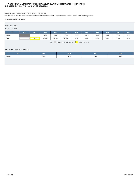## **Indicator 1: Timely provision of services FFY 2015 Part C State Performance Plan (SPP)/Annual Performance Report (APR)**

Monitoring Priority: Early Intervention Services In Natural Environments

**Compliance indicator: Percent of infants and toddlers with IFSPs who receive the early intervention services on their IFSPs in a timely manner.**

#### **(20 U.S.C. 1416(a)(3)(A) and 1442)**

| <b>Historical Data</b>                                     |      |        |        |        |        |      |      |      |      |      |      |
|------------------------------------------------------------|------|--------|--------|--------|--------|------|------|------|------|------|------|
| Baseline Data: 2005                                        |      |        |        |        |        |      |      |      |      |      |      |
| <b>FFY</b>                                                 | 2004 | 2005   | 2006   | 2007   | 2008   | 2009 | 2010 | 2011 | 2012 | 2013 | 2014 |
| Target                                                     |      |        | 100%   | 100%   | 100%   | 100% | 100% | 100% | 100% | 100% | 100% |
| Data                                                       |      | 93.60% | 98.90% | 99.50% | 99.50% | 100% | 100% | 100% | 100% | 100% | 100% |
| Gray - Data Prior to Baseline<br>Key:<br>Yellow - Baseline |      |        |        |        |        |      |      |      |      |      |      |

#### **FFY 2015 - FFY 2018 Targets**

| FFY    | 2015 | 2016 | 2017 | 2018 |
|--------|------|------|------|------|
| Target | 100% | 100% | 100% | 100% |
|        |      |      |      |      |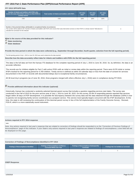#### **FFY 2015 SPP/APR Data**

| Number of infants and toddlers with IFSPs who<br>receive the early intervention services on their IFSPs in<br>a timely manner | Total number of infants and toddlers with IFSPs | <b>FFY 2014</b><br>Data <sup>*</sup> | <b>FFY 2015</b><br>Target* | <b>FFY 2015</b><br><b>Data</b> |
|-------------------------------------------------------------------------------------------------------------------------------|-------------------------------------------------|--------------------------------------|----------------------------|--------------------------------|
| 4769                                                                                                                          | 4769                                            | 100%                                 | 100%                       | 100%                           |

| Number of documented delavs attributable to exceptional family circumstances                                                                                                |  |
|-----------------------------------------------------------------------------------------------------------------------------------------------------------------------------|--|
| This number will be added to the "Number of infants and toddlers with IFSPs who receive their early intervention services on their IFSPs in a timely manner" field above to |  |
| calculate the numerator for this indicator.                                                                                                                                 |  |

#### **What is the source of the data provided for this indicator?**

 **State monitoring**

*State database* 

**Provide the time period in which the data were collected (e.g., September through December, fourth quarter, selection from the full reporting period).**

The full reporting period of July 1, 2015 to June 30, 2016 was used to determine the data reported.

**Describe how the data accurately reflect data for infants and toddlers with IFSPs for the full reporting period.**

The data is the full data set from the Kansas ITS database for the complete reporting period of July 1, 2015 to June 30, 2016. So, by definition, the data is an accurate reflection.

The records are for children eligible for Part C with active IFSPs with an initial or review date within the reporting period. There were 8,076 initial or review IFSPs tracked for the reporting period for 4,769 children. Timely service is defined as within 30 calendar days or less from the date of consent for services documented in the IFSP, or records with documented delays due to exceptional family circumstances.

All 36 local tiny-k programs (as of June 30, 2016, three programs merged with others effective July 1, 2016) were in compliance during FFY2015.

# **Provide additional information about this indicator (optional)**

Historically, Kansas has conducted a randomly-selected biennial parent survey that includes a question regarding services start dates. The survey was conducted in the Fall of 2015 for the prior service year of July 1, 2014 to June 30, 2015. On this survey, 92.8% of responding parents reported that services began within 30 days of IFSP development. It is possible the discrepancy between the survey data and the data obtained through the database (100%) is due to parents not recognizing family service coordination as a program service. This service most typically begins concurrent with the IFSP development. At this time, the state is still reviewing the continuation of this biennial parent survey in lieu of the full implementation of the Family Outcome Survey - Revised, FOS-R, which is a more statistically sound instrument.

#### **Actions required in FFY 2014 response**

none

Note: Any actions required in last year's response that are related to correction of findings should be responded to on the "Correction of Previous Findings of Noncompliance" page of this indicator. If your State's only actions required in last year's response are related to findings of noncompliance, a text field will not be displayed on this page.

#### **Correction of Findings of Noncompliance Identified in FFY 2014**

| <b>Findings of Noncompliance Identified</b> | <b>Findings of Noncompliance Verified as</b><br><b>Corrected Within One Year</b> |  | <b>Findings Not Yet Verified as Corrected</b> |  |
|---------------------------------------------|----------------------------------------------------------------------------------|--|-----------------------------------------------|--|
|                                             |                                                                                  |  |                                               |  |

#### **OSEP Response**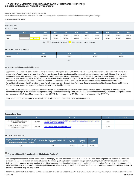#### **Indicator 2: Services in Natural Environments FFY 2015 Part C State Performance Plan (SPP)/Annual Performance Report (APR)**

Monitoring Priority: Early Intervention Services In Natural Environments

**Results indicator: Percent of infants and toddlers with IFSPs who primarily receive early intervention services in the home or community-based settings.**

#### **(20 U.S.C. 1416(a)(3)(A) and 1442)**

| <b>Historical Data</b><br>Baseline Data: 2005                                    |      |        |        |        |        |        |        |        |        |        |        |
|----------------------------------------------------------------------------------|------|--------|--------|--------|--------|--------|--------|--------|--------|--------|--------|
| <b>FFY</b>                                                                       | 2004 | 2005   | 2006   | 2007   | 2008   | 2009   | 2010   | 2011   | 2012   | 2013   | 2014   |
| Target $\geq$                                                                    |      |        | 95.00% | 95.00% | 95.00% | 95.00% | 95.00% | 95.00% | 95.00% | 95.00% | 95.00% |
| Data                                                                             |      | 98.20% | 98.40% | 98.60% | 98.50% | 99.20% | 99.50% | 99.70% | 99.60% | 99.68% | 99.81% |
| Gray - Data Prior to Baseline<br>Key:<br>Yellow - Baseline<br>Blue - Data Update |      |        |        |        |        |        |        |        |        |        |        |

#### **FFY 2015 - FFY 2018 Targets**

| FFY           | 2015   | 2016   | 2017   | 2018   |
|---------------|--------|--------|--------|--------|
| Target $\geq$ | 95.00% | 95.00% | 95.00% | 95.00% |
|               |        | Key:   |        |        |

#### **Targets: Description of Stakeholder Input**

Opportunities for broad stakeholder input to assist in reviewing all aspects of the SPP/APR were provided through webinars, state-wide conferences, four annual Infant-Toddler local tiny-k coordinator/family service coordinator meetings, public comment opportunities and hearings held regarding the revised procedure manual, and a review of the documents by Kansas' State Interagency Coordinating Council (SICC). Stakeholder representatives on the SICC included parents, local tiny-k service providers, local tiny-k coordinators, the Governor's office, the Kansas State Department of Education, the Kansas Department of Health and Environment (KDHE), Kansas Department for Children and Families (formerly known as the Department for Social and Rehabilitation Services), Head Start, Early Head Start, Kansas Insurance Commission, Parents As Teachers, members of the Kansas Senate and House of Representatives, personnel representing Kansas universities, and public members.

For the FFY 2013 resetting of targets and potential revision of baseline data, Kansas ITS presented information and solicited input at two local tiny-k coordinator meetings, at the Kansas State Agencies Early Childhood Leadership Team, at a meeting of the Family Advocacy Council for the Special Health Services section of KDHE,and has engaged a specific SPP/APR work group of the SICC for review of all aspects of the SPP/APR.

Since performance has remained at a relatively high level since 2005, Kansas has kept its targets at 95%.

#### **Prepopulated Data**

| <b>Source</b>                                                        | <b>Date</b> | <b>Description</b>                                                                                                                     | <b>Data</b> | <b>Overwrite Data</b> |
|----------------------------------------------------------------------|-------------|----------------------------------------------------------------------------------------------------------------------------------------|-------------|-----------------------|
| SY 2015-16 Child Count/Educational<br><b>Environment Data Groups</b> | 7/14/2016   | Number of infants and toddlers with IFSPs who primarily receive early intervention services in the<br>home or community-based settings | 4,759       |                       |
| SY 2015-16 Child Count/Educational<br><b>Environment Data Groups</b> | 7/14/2016   | Total number of infants and toddlers with IFSPs                                                                                        | 4,769       |                       |

#### **FFY 2015 SPP/APR Data**

| Number of infants and toddlers with IFSPs who<br>primarily receive early intervention services in<br>the home or community-based settings | Total number of infants and toddlers with<br><b>IFSPs</b> | <b>FFY 2014</b><br>Data* | <b>FFY 2015</b><br>Target* | <b>FFY 2015</b><br>Data |
|-------------------------------------------------------------------------------------------------------------------------------------------|-----------------------------------------------------------|--------------------------|----------------------------|-------------------------|
| 4.759                                                                                                                                     | 4.769                                                     | 99.81%                   | 95.00%                     | 99.79%                  |

# **Provide additional information about this indicator (optional)**

The concept of services in a natural environment is one highly stressed by Kansas over a number of years. Local tiny-k programs are required to review the provision of services in natural environments during the annual grant application process by filing a Continuous Improvement Plan focused on the service delivery model. Programs are also required to provide a community service plan addressing the mission and key principles of early intervention services, and use a statewide IFSP format which includes requirement to describe service provision in a natural environment or to provide justification for the few services or instances where that may not be possible.

Kansas was conservative in resetting targets. The 36 local programs represent a spectrum of rural and urban locations, and large and small communities. The 1/25/2018 Page 10 of 43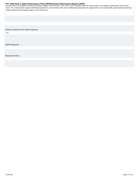<span id="page-10-0"></span>FFY 2015 Part C State Performance Plan (SPP)/Annual Performance Report (APR)<br>annual census of children served per program ranges from less than 10 to over 1,500. Progress seen at a state level is not always experienced at level. The conservative targets will allow programs in communities with more challenging situations the opportunity to set reasonable goals toward achieving improvements and meeting targets at the local level.

**Actions required in FFY 2014 response**

none

**OSEP Response**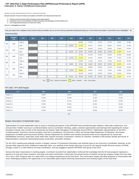#### **Indicator 3: Early Childhood Outcomes FFY 2015 Part C State Performance Plan (SPP)/Annual Performance Report (APR)**

Monitoring Priority: Early Intervention Services In Natural Environments

**Results indicator: Percent of infants and toddlers with IFSPs who demonstrate improved:**

- **A. Positive social-emotional skills (including social relationships);**
- **B. Acquisition and use of knowledge and skills (including early language/ communication); and**
- **C. Use of appropriate behaviors to meet their needs.**

**(20 U.S.C. 1416(a)(3)(A) and 1442)**

Does your State's Part C eligibility criteria include infants and toddlers who are at risk of having substantial developmental delays (or "at-risk infants and toddlers") under IDEA section 632(5)(B)(i)? No

#### **Historical Data**

|                | <b>Baseline</b><br>Year | <b>FFY</b>    | 2004 | 2005 | 2006 | 2007                          | 2008   | 2009              | 2010               | 2011   | 2012   | 2013   | 2014   |
|----------------|-------------------------|---------------|------|------|------|-------------------------------|--------|-------------------|--------------------|--------|--------|--------|--------|
| A <sub>1</sub> | 2009                    | Target $\geq$ |      |      |      |                               |        | 68.48%            | 57.53%             | 57.63% | 57.73% | 57.80% | 57.90% |
|                |                         | Data          |      |      |      |                               | 68.48% | 57.43%            | 58.77%             | 65.44% | 68.62% | 69.47% | 70.24% |
| A2             | 2013                    | Target $\geq$ |      |      |      |                               |        | 63.62%            | 56.33%             | 56.43% | 56.53% | 51.36% | 51.36% |
|                |                         | Data          |      |      |      |                               | 63.62% | 56.23%            | 53.92%             | 55.99% | 55.29% | 51.36% | 52.23% |
| <b>B1</b>      |                         | Target $\geq$ |      |      |      |                               |        | 70.76%            | 61.14%             | 61.24% | 61.34% | 61.40% | 61.50% |
|                | 2009                    | Data          |      |      |      |                               | 70.76% | 61.04%            | 64.12%             | 68.06% | 70.66% | 72.21% | 74.75% |
| <b>B2</b>      | 2013                    | Target $\geq$ |      |      |      |                               |        | 54.80%            | 47.44%             | 47.54% | 47.64% | 50.18% | 50.18% |
|                |                         | Data          |      |      |      |                               | 54.80% | 47.34%            | 48.18%             | 49.67% | 50.35% | 50.18% | 51.80% |
| C <sub>1</sub> | 2009                    | Target $\geq$ |      |      |      |                               |        | 73.23%            | 66.99%             | 67.09% | 67.19% | 67.30% | 67.40% |
|                |                         | Data          |      |      |      |                               | 73.23% | 66.89%            | 66.36%             | 71.45% | 74.54% | 75.65% | 76.52% |
| C <sub>2</sub> |                         | Target $\geq$ |      |      |      |                               |        | 69.11%            | 63.44%             | 63.54% | 63.64% | 61.91% | 61.91% |
|                | 2013                    | Data          |      |      |      |                               | 69.11% | 63.34%            | 61.64%             | 63.44% | 64.29% | 61.91% | 61.73% |
|                |                         |               |      | Key: |      | Gray - Data Prior to Baseline |        | Yellow - Baseline | Blue - Data Update |        |        |        |        |

#### **FFY 2015 - FFY 2018 Targets**

| <b>FFY</b>       | 2015   | 2016   | 2017   | 2018   |
|------------------|--------|--------|--------|--------|
| Target $A1 \geq$ | 58.00% | 58.10% | 58.20% | 58.30% |
| Target $A2 \geq$ | 51.40% | 51.40% | 51.45% | 51.45% |
| Target B1 $\geq$ | 61.60% | 61.70% | 61.80% | 61.90% |
| Target $B2 \geq$ | 50.20% | 50.20% | 50.25% | 50.25% |
| Target C1 $\geq$ | 67.50% | 67.60% | 67.70% | 67.80% |
| Target $C2 \geq$ | 61.95% | 61.95% | 62.00% | 62.00% |

Key:

#### **Targets: Description of Stakeholder Input**

Opportunities for broad stakeholder input to assist in reviewing all aspects of the SPP/APR were provided through webinars, state-wide conferences, four annual Infant-Toddler local tiny-k coordinator/family service coordinator meetings, public comment opportunities and hearings held regarding the revised procedure manual, and a review of the documents by Kansas' State Interagency Coordinating Council (SICC). Stakeholder representatives on the SICC included parents, local tiny-k service providers, local tiny-k coordinators, the Governor's office, the Kansas State Department of Education, the Kansas Department of Health and Environment (KDHE), Kansas Department for Children and Families (formerly known as the Department for Social and Rehabilitation Services), Head Start, Early Head Start, Kansas Insurance Commission, Parents As Teachers, members of the Kansas Senate and House of Representatives, personnel representing Kansas universities, and public members.

For the 2013 resetting and potential revision of targets, Kansas ITS presented information and solicited input at two local tiny-k coordinator meetings, at the Kansas State Agencies Early Childhood Leadership Team, at a meeting of the Family Advocacy Council for the Special Health Services section of KDHE, through e-mails on a state listserve for local coordinators, and has engaged a specific SPP/APR work group of the SICC.

Kansas has been conservative in resetting targets. Comments received from stakeholders reinforced the knowledge that the 36 local programs represent a spectrum of rural and urban locations, and large and small communities. Historically, the annual census of children served per program ranges from less than 10 to over 1,500. Progress seen at a state level is not always experienced at the local level. The conservative targets will allow programs in communities with more challenging situations the opportunity to set reasonable goals toward achieving improvements and meeting targets at the local level.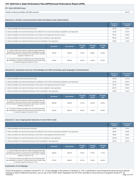#### **FFY 2015 SPP/APR Data**

| Nı<br>. with IFSP≘<br>'s assessed<br>and toddlers wit<br>intants<br>ımneı | 2843.00 |
|---------------------------------------------------------------------------|---------|
|---------------------------------------------------------------------------|---------|

#### **Outcome A: Positive social-emotional skills (including social relationships)**

|                                                                                                                                 | Number of<br><b>Children</b> | Percentage of<br><b>Children</b> |
|---------------------------------------------------------------------------------------------------------------------------------|------------------------------|----------------------------------|
| a. Infants and toddlers who did not improve functioning                                                                         | 381.00                       | 13.40%                           |
| b. Infants and toddlers who improved functioning but not sufficient to move nearer to functioning comparable to same-aged peers | 432.00                       | 15.20%                           |
| c. Infants and toddlers who improved functioning to a level nearer to same-aged peers but did not reach it                      | 551.00                       | 19.38%                           |
| d. Infants and toddlers who improved functioning to reach a level comparable to same-aged peers                                 | 986.00                       | 34.68%                           |
| e. Infants and toddlers who maintained functioning at a level comparable to same-aged peers                                     | 493.00                       | 17.34%                           |

|                                                                                                                                                                                                                                                  | <b>Numerator</b> | <b>Denominator</b> | <b>FFY 2014</b><br>Data* | <b>FFY 2015</b><br>Target* | <b>FFY 2015</b><br><b>Data</b> |
|--------------------------------------------------------------------------------------------------------------------------------------------------------------------------------------------------------------------------------------------------|------------------|--------------------|--------------------------|----------------------------|--------------------------------|
| A1. Of those children who entered or exited the program below age<br>expectations in Outcome A, the percent who substantially increased<br>their rate of growth by the time they turned 3 years of age or exited the<br>program (c+d)/(a+b+c+d). | 1537.00          | 2350.00            | 70.24%                   | 58.00%                     | 65.40%                         |
| A2. The percent of infants and toddlers who were functioning within<br>age expectations in Outcome A by the time they turned 3 years of age<br>or exited the program (d+e)/(a+b+c+d+e).                                                          | 1479.00          | 2843.00            | 52.23%                   | 51.40%                     | 52.02%                         |

#### **Outcome B. Acquisition and use of knowledge and skills (including early language/ communication)**

|                                                                                                                                 | Number of<br><b>Children</b> | Percentage of<br><b>Children</b> |
|---------------------------------------------------------------------------------------------------------------------------------|------------------------------|----------------------------------|
| a. Infants and toddlers who did not improve functioning                                                                         | 334.00                       | 11.75%                           |
| b. Infants and toddlers who improved functioning but not sufficient to move nearer to functioning comparable to same-aged peers | 421.00                       | 14.81%                           |
| c. Infants and toddlers who improved functioning to a level nearer to same-aged peers but did not reach it                      | 587.00                       | 20.65%                           |
| d. Infants and toddlers who improved functioning to reach a level comparable to same-aged peers                                 | 1097.00                      | 38.59%                           |
| e. Infants and toddlers who maintained functioning at a level comparable to same-aged peers                                     | 404.00                       | 14.21%                           |

|                                                                                                                                                                                                                                                  | <b>Numerator</b> | <b>Denominator</b> | <b>FFY 2014</b><br>Data* | <b>FFY 2015</b><br>Target* | <b>FFY 2015</b><br>Data |
|--------------------------------------------------------------------------------------------------------------------------------------------------------------------------------------------------------------------------------------------------|------------------|--------------------|--------------------------|----------------------------|-------------------------|
| B1. Of those children who entered or exited the program below age<br>expectations in Outcome B, the percent who substantially increased<br>their rate of growth by the time they turned 3 years of age or exited the<br>program (c+d)/(a+b+c+d). | 1684.00          | 2439.00            | 74.75%                   | 61.60%                     | 69.04%                  |
| B2. The percent of infants and toddlers who were functioning within<br>age expectations in Outcome B by the time they turned 3 years of age<br>or exited the program (d+e)/(a+b+c+d+e).                                                          | 1501.00          | 2843.00            | 51.80%                   | 50.20%                     | 52.80%                  |

#### **Outcome C: Use of appropriate behaviors to meet their needs**

|                                                                                                                                 | Number of<br><b>Children</b> | Percentage of<br><b>Children</b> |
|---------------------------------------------------------------------------------------------------------------------------------|------------------------------|----------------------------------|
| a. Infants and toddlers who did not improve functioning                                                                         | 260.00                       | 9.15%                            |
| b. Infants and toddlers who improved functioning but not sufficient to move nearer to functioning comparable to same-aged peers | 396.00                       | 13.93%                           |
| c. Infants and toddlers who improved functioning to a level nearer to same-aged peers but did not reach it                      | 480.00                       | 16.88%                           |
| d. Infants and toddlers who improved functioning to reach a level comparable to same-aged peers                                 | 1155.00                      | 40.63%                           |
| e. Infants and toddlers who maintained functioning at a level comparable to same-aged peers                                     | 552.00                       | 19.42%                           |

|                                                                                                                                                                                                                                                  | <b>Numerator</b> | <b>Denominator</b> | <b>FFY 2014</b><br>Data* | <b>FFY 2015</b><br>Target* | <b>FFY 2015</b><br>Data |
|--------------------------------------------------------------------------------------------------------------------------------------------------------------------------------------------------------------------------------------------------|------------------|--------------------|--------------------------|----------------------------|-------------------------|
| C1. Of those children who entered or exited the program below age<br>expectations in Outcome C, the percent who substantially increased<br>their rate of growth by the time they turned 3 years of age or exited the<br>program (c+d)/(a+b+c+d). | 1635.00          | 2291.00            | 76.52%                   | 67.50%                     | 71.37%                  |
| C2. The percent of infants and toddlers who were functioning within<br>age expectations in Outcome C by the time they turned 3 years of age<br>or exited the program (d+e)/(a+b+c+d+e).                                                          | 1707.00          | 2843.00            | 61.73%                   | 61.95%                     | 60.04%                  |

#### **Explanation of C2 Slippage**

Of the 36 programs in existance during FFY 15, 14 had slippage in this portion of Indicator 3. This is attributed to more frequent focused and issue-specific training on Early Childhood Outcomes, and on use of the COSF when integrated into the IFSP, provided to most local tiny-k programs during FFY 15. 1/25/2018 Page 13 of 43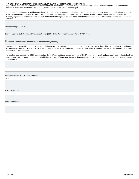<span id="page-13-0"></span>FFY 2015 Part C State Performance Plan (SPP)/Annual Performance Report (APR)<br>Emphasis on inter-rater reliabilty between staff members on all of the ECO outcomes was part of this training. There was some regression in five portions of Indicator 3 due to this work, but only C2 failed to meet the previously set target.

Due to continuing changes in staffing at the local level, and to the merger of three local programs into other existing local programs resulting in 33 programs at the beginning of FFY 16, Kansas has chosen to not reset the baseline for Indicator 3 - C2 at this time. All portions of Indicator 3 will be reviewed next year to beter judge the effects of the training process and structural changes at the local level, and the further effects of the COSF integration into the IFSP at the state level.

**Was sampling used?** No

**Did you use the Early Childhood Outcomes Center (ECO) Child Outcomes Summary Form (COSF)?** Yes

## **Provide additional information about this indicator (optional)**

Outcomes data was available on 2,843 children during the FFY15 reporting period, an increase of .47% \_ over 2014 data. This \_ small increase is attributed to continued systems improvements in collection of child outcomes, and tracking of children either transferring or otherwise served for less than six months in a Kansas Part C local program.

Kansas has incorporated the COSF outcomes into the IFSP and instituted annual collection of COSF information, which had previously been collected only at entrance and exit. Currently, the IFSP is available in a web-based format, and if used in that manner, the IFSP auto-populates the COSF information into the ITS database.

#### **Actions required in FFY 2014 response**

none

**OSEP Response**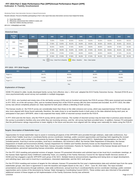#### **Indicator 4: Family Involvement FFY 2015 Part C State Performance Plan (SPP)/Annual Performance Report (APR)**

Monitoring Priority: Early Intervention Services In Natural Environments

**Results indicator: Percent of families participating in Part C who report that early intervention services have helped the family:**

- **A. Know their rights;**
- **B. Effectively communicate their children's needs; and C. Help their children develop and learn.**

**(20 U.S.C. 1416(a)(3)(A) and 1442)**

#### **Historical Data**

|   | <b>Baseline</b><br>Year | <b>FFY</b>    | 2004 | 2005 | 2006                     | 2007   | 2008                     | 2009   | 2010   | 2011   | 2012   | 2013   | 2014   |
|---|-------------------------|---------------|------|------|--------------------------|--------|--------------------------|--------|--------|--------|--------|--------|--------|
| A | 2015                    | Target $\geq$ |      |      | 70.00%                   | 75.00% | 80.00%                   | 80.00% | 95.00% | 95.00% | 95.00% | 95.00% | 90.51% |
|   |                         | Data          |      |      | 57.80%                   | 62.80% | 98.10%                   | 96.80% | 99.50% | 99.50% | 99.55% | 99.39% | 90.51% |
|   |                         | Target $\geq$ |      |      | 95.00%                   | 96.00% | 97.00%                   | 98.00% | 98.00% | 98.00% | 98.00% | 97.30% | 94.18% |
| в | 2015                    | Data          |      |      | 97.20%                   | 98.40% | 94.40%                   | 92.90% | 97.00% | 95.50% | 96.66% | 96.42% | 94.18% |
|   |                         | Target $\geq$ |      |      | 97.00%                   | 97.00% | 97.00%                   | 98.00% | 98.00% | 98.00% | 98.00% | 97.10% | 92.14% |
| с | 2015                    | Data          |      |      | 97.00%                   | 97.90% | 97.60%                   | 96.20% | 97.30% | 96.10% | 97.26% | 96.60% | 92.14% |
|   |                         |               |      |      | $\overline{\phantom{0}}$ |        | $\overline{\phantom{a}}$ |        |        |        |        |        |        |

Key: Gray – Data Prior to Baseline Yellow – Baseline Blue – Data Update

#### **FFY 2015 - FFY 2018 Targets**

| <b>FFY</b>              | 2015   | 2016   | 2017   | 2018   |
|-------------------------|--------|--------|--------|--------|
| Target $A \geq$         | 88.47% | 88.50% | 88.50% | 88.55% |
| Target $B \geq$         | 91.83% | 91.85% | 91.85% | 91.90% |
| <sup>1</sup> Target C ≥ | 91.30% | 91.30% | 91.30% | 91.35% |

Key:

#### **Explanation of Changes**

KDHE ITS retired it's older, locally developed family survey form effective July 1, 2014 and adopted the ECO Family Outcomes Survey - Revised (FOS-R) as a more psychometrically sound survey tool available in multiple languages.

In FFY 2014, one hundred and ninety-nine of the old family surveys (24%) and six hundred and twenty five FOS-R surveys (76%) were received and recorded. In FFY 2015, six of the old surveys (.9%), and six hundred seventy-four of the FOS-R surveys (99.1%) were received and recorded. As of FFY 2015, the older survey was almost completely phased out. Data reported for both years reflects a blending of both surveys.

The Kansas results on the FOS-R survey are considerably lower than those on the older entrance-exit survey, which was expected.Kansas' FOS-R results are also more aligned with those found nationally, therefore, the state chose to re-set baseline levels in both years to the data obtained during each year, as anticipated in last year's SPP/APR, when it was expected that nearly 100% of returned surveys would be the FOS-R.

In FFY 2015 and into the future, only the FOS-R survey will be used in Kansas. The number of returned surveys may be lower than in previous years because the survey is provided to families only once while they are receiving services, and the old survey had been provided twice. In addition, Kansas ITS anticipates that the performance ratings maycontinue to lower slightly in the future and become more aligned with the ratings seen nationally for states using the FOS-R.

#### **Targets: Description of Stakeholder Input**

Opportunities for broad stakeholder input to assist in reviewing all aspects of the SPP/APR were provided through webinars, state-wide conferences, four annual Infant-Toddler local tiny-k coordinator/family service coordinator meetings, public comment opportunities and hearings held regarding the revised procedure manual, and a review of the documents by Kansas' State Interagency Coordinating Council (SICC). Stakeholder representatives on the SICC included parents, local tiny-k service providers, local tiny-k coordinators, the Governor's office, the Kansas State Department of Education, the Kansas Department of Health and Environment (KDHE), Kansas Department for Children and Families (formerly known as the Department for Social and Rehabilitation Services), Head Start, Early Head Start, Kansas Insurance Commission, Parents As Teachers, members of the Kansas Senate and House of Representatives, personnel representing Kansas universities, and public members.

For the FFY 2013 resetting and potential revision of targets, Kansas ITS presented information and solicited input at two local tiny-k coordinator meetings, at the Kansas State Agencies Early Childhood Leadership Team, at a meeting of the Family Advocacy Council for the Special Health Services section of KDHE,and has engaged a specific SPP/APR work group of the SICC. Multiple listserve announcements regarding work being done on target development, and soliciting input, were sent to local tiny-k coordinators, interested stakeholder, and the SICC work group.

For the FFY2014 resetting and revision of targets for this indicator, Kansas ITS presented the first year's implementation data and solicited input from the same stakeholder groups, who were in agreement to reset the baseline and targets based on the July 1. 2014 – June 30, 2015 data. The input included presentations and discussions through webinars, state-wide conferences, annual local tiny-k coordinator/family service coordinator meetings, public comment opportunities and a review of the documents by Kansas' State Interagency Coordinating Council (SICC). These entities were also informed of the potential additional revision of these targets as full implementation of the Family Outcomes Survey was achieved. 1/25/2018 Page 15 of 43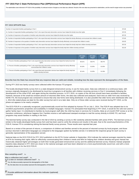The stakeholders were informed in FFY2014 of the possibility of continued revision of targets as new data was collected. Results of the new data was presented to stakeholders, and the need for target revision was presented

#### **FFY 2015 SPP/APR Data**

| Number of respondent families participating in Part C                                                                                                                       | 674.00 |
|-----------------------------------------------------------------------------------------------------------------------------------------------------------------------------|--------|
| A1. Number of respondent families participating in Part C who report that early intervention services have helped the family know their rights                              | 537.00 |
| A2. Number of responses to the question of whether early intervention services have helped the family know their rights                                                     | 607.00 |
| B1. Number of respondent families participating in Part C who report that early intervention services have helped the family effectively communicate their children's needs | 573.00 |
| B2. Number of responses to the question of whether early intervention services have helped the family effectively communicate their children's needs                        | 624.00 |
| C1. Number of respondent families participating in Part C who report that early intervention services have helped the family help their children develop and learn          | 567.00 |
| C2. Number of responses to the question of whether early intervention services have helped the family help their children develop and learn                                 | 621.00 |

|                                                                                                                                                                     | <b>FFY 2014</b><br>Data* | <b>FFY 2015</b><br>Target* | <b>FFY 2015</b><br>Data |
|---------------------------------------------------------------------------------------------------------------------------------------------------------------------|--------------------------|----------------------------|-------------------------|
| A. Percent of families participating in Part C who report that early intervention services have helped the family know their<br>rights                              | 90.51%                   | 88.47%                     | 88.47%                  |
| B. Percent of families participating in Part C who report that early intervention services have helped the family effectively<br>communicate their children's needs | 94.18%                   | 91.83%                     | 91.83%                  |
| C. Percent of families participating in Part C who report that early intervention services have helped the family help their<br>children develop and learn          | 92.14%                   | 91.30%                     | 91.30%                  |

**Describe how the State has ensured that any response data are valid and reliable, including how the data represent the demographics of the State.**

During FFY 2015 two family surveys were collected within the Kansas ITS program.

The locally-developed family survey form is a state-designed entrance/exit survey, in use for many years. Data was collected on a continuous basis, with surveys originally designed to be distributed by local tiny-k programs to all families with children receiving services in Part C immediately following the development of the initial IFSP, and again during the transition process. In FFY 2015, no copies of the old form should have been provided to families, however, because of the small but existant amount of returned older forms, the data was collected and analyzed. Each time an older form was received by KDHE ITS, the local program was contacted to ensure that only new forms were being distributed. It is also possible that older forms were distributed after July 1, 2014 (the stated phase-out date for the older survey) but sent in at a later date. Only six of these older surveys were received during FFY 2015, so the phase-out appears to be nearly complete.

The ECO FOS-R is a nationally recognized, psychometrically sound tool first adopted by Kansas ITS on July 1, 2014. The FOS-R was adopted due to its excellent psychometric properties and availability in multiple languages. Kansas ITS anticipated that beginning in FFY 2015, it would be the sole tool used to gather family input. It is distributed to families by local program staff after the child has been in services for 6 months, likely at a 6-month IFSP review or at the transition conference, whichever happens first. Families receive a self-addressed stamped envelope to mail the survey directly to KDHE ITS, and local programs may assist families in mailing in the form.

The biennial family survey was conducted in the fall of 2015 by sending a survey to 462 randomly selected families with active IFSPs. The biennial survey is similar to the locally-developed family survey form and has been used to verify the entrance-exit results in the past. Due to the sound psychometrics of the FOS-R, Kansas ITS is considering retiring the biennial family survey process. Those results were reported last year.

Based on a review of the percent of returns, a comparison of children and families served to the percent of returned surveys by local program, and those surveys returned in alternative languages as compared to the languages spoken by families served, it is believed the response group for each survey is generally representative of the population served.

National data on the ECO FOS-R for FFY 2012 published on the ECTA Center website in September, 2014 indicate the national averages reported by states at 87% for knowing their rights, 88% for effectively communicating their children's needs and 90% for helping their children develop and grow. Kansas has historically obtained higher percentages on both their locally generated entrance/exit survey and the additional biennial survey. However, Kansas' proposed baseline data obtained in FFY 2015 are closer to the national averages and have been obtained on a more psychometrically sound tool, and with a more complete phase-in for the ECO FOS-R.

**Was sampling used?** No

**Was a collection tool used?** Yes **Is it a new or revised collection tool?** No

€ **Yes, the data accurately represent the demographics of the State**

**No, the data does not accurately represent the demographics of the State**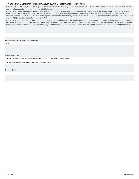<span id="page-16-0"></span>KDHE ITS retired it's older, locally developed family survey form effective July 1, 2014 and adopted the ECO Family Outcomes Survey - Revised (FOS-R) as a more psychometrically sound survey tool available in multiple languages.

In FFY 2015, six of the old family surveys (.9%) and six hundred and seventy-four FOS-R surveys (99.1%) were received and recorded. The FFY 2015 data reflects a blending of the two surveys. The Kansas results on the FOS-R survey are notably lower than those on the older entrance-exit survey, which was expected. Kansas' FOS-R results are also more aligned with those found nationally, therefore, the state chose to re-set baseline levels to the data obtained this year (FFY 15), as anticipated in last year's SPP/APR.

In FFY 2015 and into the future, only the FOS-R survey will be used in Kansas. The number of returned surveys may be lower than in previous years because the survey is provided to families only once while they are receiving services, and the old survey had been provided twice. In addition, Kansas ITS anticipates that the performance ratings may continue lower slightly in the future and become more aligned with the ratings seen nationally for states using the FOS-R.

#### **Actions required in FFY 2014 response**

none

#### **OSEP Response**

The State has revised the baseline for this indicator, using data from FFY 2015, and OSEP accepts that revision.

The State revised its targets for this indicator, and OSEP accepts those targets.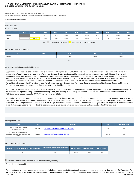## **Indicator 5: Child Find (Birth to One) FFY 2015 Part C State Performance Plan (SPP)/Annual Performance Report (APR)**

Monitoring Priority: Effective General Supervision Part C / Child Find

**Results indicator: Percent of infants and toddlers birth to 1 with IFSPs compared to national data.**

#### **(20 U.S.C. 1416(a)(3)(B) and 1442)**

| <b>Historical Data</b>                                                           |      |       |       |       |       |       |       |       |       |       |       |
|----------------------------------------------------------------------------------|------|-------|-------|-------|-------|-------|-------|-------|-------|-------|-------|
| Baseline Data: 2005                                                              |      |       |       |       |       |       |       |       |       |       |       |
| <b>FFY</b>                                                                       | 2004 | 2005  | 2006  | 2007  | 2008  | 2009  | 2010  | 2011  | 2012  | 2013  | 2014  |
| Target $\geq$                                                                    |      |       | 1.30% | 1.33% | 1.35% | 1.35% | 1.35% | 1.35% | 1.35% | 1.40% | 1.40% |
| Data                                                                             |      | 1.21% | 1.43% | 1.38% | 1.30% | 1.35% | 1.47% | 1.56% | 1.74% | 1.73% | 1.80% |
| Gray - Data Prior to Baseline<br>Key:<br>Yellow - Baseline<br>Blue - Data Update |      |       |       |       |       |       |       |       |       |       |       |

#### **FFY 2015 - FFY 2018 Targets**

| <b>FFY</b> | 2015  | 2016  | 2017  | 2018  |
|------------|-------|-------|-------|-------|
| Target ≥   | 1.45% | 1.45% | 1.50% | 1.50% |
|            |       | Key:  |       |       |

#### **Targets: Description of Stakeholder Input**

Opportunities for broad stakeholder input to assist in reviewing all aspects of the SPP/APR were provided through webinars, state-wide conferences, four annual Infant-Toddler local tiny-k coordinator/family service coordinator meetings, public comment opportunities and hearings held regarding the revised procedure manual, and a review of the documents by Kansas' State Interagency Coordinating Council (SICC). Stakeholder representatives on the SICC included parents, local tiny-k service providers, local tiny-k coordinators, the Governor's office, the Kansas State Department of Education, the Kansas Department of Health and Environment (KDHE), Kansas Department for Children and Families (formerly known as the Department for Social and Rehabilitation Services), Head Start, Early Head Start, Kansas Insurance Commission, Parents As Teachers, members of the Kansas Senate and House of Representatives, personnel representing Kansas universities, and public members.

For the FFY 2013 resetting and potential revision of targets, Kansas ITS presented information and solicited input at two local tiny-k coordinator meetings, at the Kansas State Agencies Early Childhood Leadership Team, at a meeting of the Family Advocacy Council for the Special Health Services section of KDHE,and has engaged a specific SPP/APR work group of the SICC.

Kansas has been conservative in resetting targets. Comments received from stakeholders reinforced the knowledge that the 36 local programs represent a wide spectrum of rural and urban locations, and relatively large and small communities. The annual census of children served per program ranges from less than 10 to over 1,500. Progress seen at a state level is not always experienced at the local level. The conservative targets will allow programs in communities with more challenging situations the opportunity to set reasonable goals toward achieving improvements and meeting targets at the local level.

#### **Prepopulated Data**

| <b>Source</b>                                                                             | <b>Date</b> | <b>Description</b>                                   | <b>Data</b> | <b>Overwrite Data</b> |
|-------------------------------------------------------------------------------------------|-------------|------------------------------------------------------|-------------|-----------------------|
| SY 2015-16 Child Count/Educational<br><b>Environment Data Groups</b>                      | 7/14/2016   | Number of infants and toddlers birth to 1 with IFSPs | 716         | null                  |
| U.S. Census Annual State Resident<br>Population Estimates April 1, 2010 to July<br>1.2015 | 6/30/2016   | Population of infants and toddlers birth to 1        | 38,972      | null                  |

#### **FFY 2015 SPP/APR Data**

| . Number of infants and toddlers birth to 1 with IFSPs $^{\degree}$ | <b>Population of infants and toddlers birth</b><br>to 1 | FFY 2014 Data* | FFY 2015 Target* | FFY 2015 Data |
|---------------------------------------------------------------------|---------------------------------------------------------|----------------|------------------|---------------|
| 716                                                                 | 38.972                                                  | 1.80%          | 1.45%            | 1.84%         |

# **Provide additional information about this indicator (optional)**

Comparison to National Data

For the last several years, Kansas' performance on this indicator has exceeded the national mean value, based on a review of data from the ECTA center. For the 2015-2016 period, Kansas ranks 10th out of the 51 reporting jurisdictions when ranked by highest percentage served to lowest percentage served. The state 1/25/2018 Page 18 of 43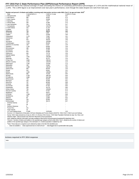FFY 2015 Part C State Performance Plan (SPP)/Annual Performance Report (APR)<br>performed above the national average of state (including the District of Columbia) performance percentages of 1.41% and the mathimatical national 1.20%. The 1.84% figure is an improvement over last year's performance, even though the state droped one rank from last year.

Number and percent<sup>1</sup> of infants and toddlers receiving early intervention services under IDEA, Part C, by age and state: 2015<sup>2</sup>

| <b>State</b>            | # served birth to 1                                                                                                        | # birth to 1 in pop | % birth to 1 in pop |
|-------------------------|----------------------------------------------------------------------------------------------------------------------------|---------------------|---------------------|
| 1 Massachusetts         | 3,338                                                                                                                      | 73,100              | 4.57                |
| 2 New Mexico            | 984                                                                                                                        | 26,407              | 3.73                |
| 3 West Virginia         | 576                                                                                                                        | 20,658              | 2.79                |
| 4 Wyoming               | 214                                                                                                                        | 7,677               | 2.79                |
| 5 Rhode Island          | 304                                                                                                                        | 11,065              | 2.75                |
| 6 New Hampshire         | 316                                                                                                                        | 12,784              | 2.47                |
| 7 Pennsylvania          | 3,138                                                                                                                      | 141,872             | 2.21                |
| 8 North Dakota          | 215                                                                                                                        | 11,144              | 1.93                |
| 9 Alaska                | 217                                                                                                                        | 11,383              | 1.91                |
| 10Kansas                | 716                                                                                                                        | 38,972              | 1.84                |
| 11 Vermont              | 105                                                                                                                        | 5,994               | 1.75                |
| 12Idaho                 | 376                                                                                                                        | 22,649              | 1.66                |
| 13Maryland              | 1,176                                                                                                                      | 72,907              | 1.61                |
| 14Arkansas              | 587                                                                                                                        | 37,698              | 1.56                |
| 15lowa                  | 615                                                                                                                        | 39,518              | 1.56                |
| 16Virginia              | 1,515                                                                                                                      | 102,863             | 1.47                |
| 17Washington            | 1,314                                                                                                                      | 89,440              | 1.47                |
| 18District of Columbia  | 128                                                                                                                        | 9,153               | 1.40                |
| 19Indiana               | 1,135                                                                                                                      | 83,603              | 1.36                |
| 20Connecticut           | 490                                                                                                                        | 36,486              | 1.34                |
| 21 Delaware             | 147                                                                                                                        | 11,020              | 1.33                |
| 22Louisiana             | 810                                                                                                                        | 62,686              | 1.29                |
| 23Missouri              | 943                                                                                                                        | 74,779              | 1.26                |
| 24South Dakota          | 157                                                                                                                        | 12,419              | 1.26                |
| 25Illinois              | 1,931                                                                                                                      | 155,304             | 1.24                |
| 26Nevada                | 444                                                                                                                        | 35,737              | 1.24                |
| 27 New York             | 2,808                                                                                                                      | 238,315             | 1.18                |
| 28 North Carolina       | 1,375                                                                                                                      | 120,576             | 1.14                |
| 29Michigan              | 1,292                                                                                                                      | 114,061             | 1.13                |
| 30Montana               | 135                                                                                                                        | 12,601              | 1.07                |
| 31Georgia               | 1,368                                                                                                                      | 130,327             | 1.05                |
| 32Wisconsin             | 693                                                                                                                        | 66,978              | 1.03                |
| 33Utah                  | 515                                                                                                                        | 50,821              | 1.01                |
| 34Ohio                  | 1,355                                                                                                                      | 139,055             | 0.97                |
| 35Minnesota             | 666                                                                                                                        | 70,248              | 0.95                |
| 36Texas                 | 3,759                                                                                                                      | 399,149             | 0.94                |
| 37 California           | 4,685                                                                                                                      | 501,336             | 0.93                |
| 38Tennessee             | 743                                                                                                                        | 80,549              | 0.92                |
| 39Oregon                | 420                                                                                                                        | 46,266              | 0.91                |
| 40Arizona               | 767                                                                                                                        | 86,440              | 0.89                |
| 41 Hawaii               | 162                                                                                                                        | 19,028              | 0.85                |
| 42Colorado              | 568                                                                                                                        | 67,322              | 0.84                |
| 43Nebraska              | 209                                                                                                                        | 26,178              | 0.80                |
| 44New Jersey            | 784                                                                                                                        | 103,853             | 0.75                |
| 45South Carolina        | 431                                                                                                                        | 57,927              | 0.74                |
| 46Alabama               | 412                                                                                                                        | 58,017              | 0.71                |
| 47Florida               | 1,538                                                                                                                      | 221,492             | 0.69                |
| 48Oklahoma              | 359                                                                                                                        | 53,581              | 0.67                |
| 49Maine                 | 80                                                                                                                         | 12,863              | 0.62                |
| 50Kentucky              | 316                                                                                                                        | 55,564              | 0.57                |
| 51 Mississippi          | 216                                                                                                                        | 38,173              | 0.57                |
| American Samoa          | 10                                                                                                                         |                     |                     |
| Guam                    | 48                                                                                                                         |                     |                     |
| Northern Marianas       | 6                                                                                                                          |                     |                     |
| Puerto Rico             | 221                                                                                                                        |                     |                     |
| Virgin Islands          | 16                                                                                                                         |                     |                     |
| U.S. and Outlying Areas | 47.848                                                                                                                     | 3,978,038           | 1.20                |
|                         | Sources: U.S. Department of Education, ED Facts Metadata and Process System (EMAPS): "IDEA Part C Child Count and Settings |                     |                     |
|                         | $\cdots$ $\cdots$<br>0.01010F                                                                                              |                     |                     |

Survey," 2015. Data extracted as of July 14, 2016. U.S. Bureau of the Census. "2015 State Population Estimates by Age, Sex, Race, and

Hispanic Origin". Data accessed July 2016 from http://www.census.gov/popest Note: Additional collection information and data available at http://www2.ed.gov/programs/osepidea/618-data/index.html

Percent = Number of infants and toddlers in the specified age category served under IDEA, Part C, divided by the number of infants and toddlers in the specified age category in the estimated U.S. resident population multiplied by 100.

 $2$ Note: These data are a snapshot count collected by states in the fall of the identified year.

- Data not available x Data suppressed due to small cell size \* Data flagged due to questionable data quality

#### **Actions required in FFY 2014 response**

none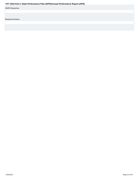<span id="page-19-0"></span>

| Fr T ZUIS Part G State Performance Plan (SPP)/Annual Performance Report (APR) |
|-------------------------------------------------------------------------------|
| <b>OSEP Response</b>                                                          |
|                                                                               |
|                                                                               |
| <b>Required Actions</b>                                                       |
|                                                                               |
|                                                                               |
|                                                                               |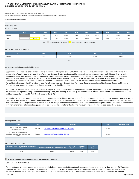## **Indicator 6: Child Find (Birth to Three) FFY 2015 Part C State Performance Plan (SPP)/Annual Performance Report (APR)**

Monitoring Priority: Effective General Supervision Part C / Child Find

**Results indicator: Percent of infants and toddlers birth to 3 with IFSPs compared to national data.**

#### **(20 U.S.C. 1416(a)(3)(B) and 1442)**

| <b>Historical Data</b>                                                           |      |       |       |       |       |       |       |       |       |       |       |
|----------------------------------------------------------------------------------|------|-------|-------|-------|-------|-------|-------|-------|-------|-------|-------|
| Baseline Data: 2005                                                              |      |       |       |       |       |       |       |       |       |       |       |
| <b>FFY</b>                                                                       | 2004 | 2005  | 2006  | 2007  | 2008  | 2009  | 2010  | 2011  | 2012  | 2013  | 2014  |
| Target $\geq$                                                                    |      |       | 2.80% | 2.85% | 2.90% | 2.90% | 2.90% | 2.90% | 2.90% | 3.00% | 3.00% |
| Data                                                                             |      | 2.52% | 2.63% | 2.71% | 2.75% | 2.84% | 3.20% | 3.42% | 3.54% | 3.67% | 3.89% |
| Gray - Data Prior to Baseline<br>Key:<br>Yellow - Baseline<br>Blue - Data Update |      |       |       |       |       |       |       |       |       |       |       |

#### **FFY 2015 - FFY 2018 Targets**

| <b>FFY</b>    | 2015  | 2016  | 2017  | 2018  |
|---------------|-------|-------|-------|-------|
| Target $\geq$ | 3.10% | 3.10% | 3.20% | 3.20% |
|               |       | Key:  |       |       |

#### **Targets: Description of Stakeholder Input**

Opportunities for broad stakeholder input to assist in reviewing all aspects of the SPP/APR were provided through webinars, state-wide conferences, four annual Infant-Toddler local tiny-k coordinator/family service coordinator meetings, public comment opportunities and hearings held regarding the revised procedure manual, and a review of the documents by Kansas' State Interagency Coordinating Council (SICC). Stakeholder representatives on the SICC included parents, local tiny-k service providers, local tiny-k coordinators, the Governor's office, the Kansas State Department of Education, the Kansas Department of Health and Environment (KDHE), Kansas Department for Children and Families (formerly known as the Department for Social and Rehabilitation Services), Head Start, Early Head Start, Kansas Insurance Commission, Parents As Teachers, members of the Kansas Senate and House of Representatives, personnel representing Kansas universities, and public members.

For the FFY 2013 resetting and potential revision of targets, Kansas ITS presented information and solicited input at two local tiny-k coordinator meetings, at the Kansas State Agencies Early Childhood Leadership Team, at a meeting of the Family Advocacy Council for the Special Health Services section of KDHE, and has engaged a specific SPP/APR work group of the SICC.

Kansas has been conservative in resetting targets. Comments received from stakeholders reinforced the knowledge that the 36 local programs represent a wide spectrum of rural and urban locations, and both relatively large and small communities. The annual census of children served per program ranges from less than 10 to over 1,500. Progress seen at a state level is not always experienced at the local level. The conservative targets will allow programs in communities with more challenging situations the opportunity to set reasonable goals toward achieving improvements and meeting targets at the local level.

#### **Prepopulated Data**

| <b>Source</b>                                                                             | <b>Date</b> | <b>Description</b>                                   | <b>Data</b> | <b>Overwrite Data</b> |
|-------------------------------------------------------------------------------------------|-------------|------------------------------------------------------|-------------|-----------------------|
| SY 2015-16 Child Count/Educational<br><b>Environment Data Groups</b>                      | 7/14/2016   | Number of infants and toddlers birth to 3 with IFSPs | 4,769       |                       |
| U.S. Census Annual State Resident<br>Population Estimates April 1, 2010 to July<br>1.2015 | 6/30/2016   | Population of infants and toddlers birth to 3        | 117.885     |                       |

#### **FFY 2015 SPP/APR Data**

| Number of infants and toddlers birth to 3 with | Population of infants and toddlers birth to 3 | <b>FFY 2014</b> | <b>FFY 2015</b> | <b>FFY 2015</b> |
|------------------------------------------------|-----------------------------------------------|-----------------|-----------------|-----------------|
| <b>IFSPs</b>                                   |                                               | Data*           | Target*         | Data            |
| 4.769                                          | 117.885                                       | 3.89%           | 3.10%           | 4.05%           |

## **Provide additional information about this indicator (optional)**

Comparison to National Data

For the last several years, Kansas' performance on this indicator has exceeded the national mean value, based on a review of data from the ECTA center. Based on this data, Kansas is ranked 11th out of the 31 reporting jurisdictions when sorted from highest percentage served to lowest percentage served. Kansas also performed above the national agerage of state (including the District of Columbia) performance percentages of 3.26% and the national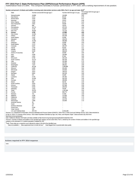FFY 2015 Part C State Performance Plan (SPP)/Annual Performance Report (APR)<br>mathematical mean of 3.00%. This compares favorably to Kansas' performance in FFY 2014, with a ranking improvement of one position.

### **Number and percent<sup>1</sup> of infants and toddlers receiving early intervention services under IDEA, Part C, by age and state: 2015<sup>2</sup>**

|                | <b>State</b>            | Number and percent <sup>1</sup> of infants and toddlers receiving early intervention services under IDEA, Part C, by age and state: 2015 <sup>-</sup><br>Number served birth through age 2 | Number birth through 2 in pop | Percentage birth through age 2 |
|----------------|-------------------------|--------------------------------------------------------------------------------------------------------------------------------------------------------------------------------------------|-------------------------------|--------------------------------|
| 1              | Massachusetts           | 19,808                                                                                                                                                                                     | 218,988                       | population<br>9.05             |
| $\overline{2}$ | New Mexico              | 5,414                                                                                                                                                                                      | 80,110                        | 6.76                           |
| 3              | Rhode Island            | 2,016                                                                                                                                                                                      | 32,985                        | 6.11                           |
| $\overline{4}$ | Wyoming                 | 1,256                                                                                                                                                                                      | 23,012                        | 5.46                           |
| 5              | West Virginia           | 3,260                                                                                                                                                                                      | 62,137                        | 5.25                           |
| 6              | New Hampshire           | 2,001                                                                                                                                                                                      | 38,390                        | 5.21                           |
| 7              | Vermont                 | 896                                                                                                                                                                                        | 18,079                        | 4.96                           |
| 8              | Pennsylvania            | 18,773                                                                                                                                                                                     | 427,075                       | 4.40                           |
| 9              | Connecticut             | 4,726                                                                                                                                                                                      | 110,667                       | 4.27                           |
| 10             | New York                | 30,025                                                                                                                                                                                     | 711,133                       | 4.22                           |
| 11             | Kansas                  | 4,769                                                                                                                                                                                      | 117,885                       | 4.05                           |
| 12             | New Jersey              | 12,491                                                                                                                                                                                     | 314,191                       | 3.98                           |
|                | Indiana                 |                                                                                                                                                                                            |                               |                                |
| 13             |                         | 9,756                                                                                                                                                                                      | 251,036                       | 3.89                           |
| 14             | North Dakota            | 1,222                                                                                                                                                                                      | 32,590                        | 3.75                           |
| 15             | Maryland                | 7,798                                                                                                                                                                                      | 219,479                       | 3.55                           |
| 16             | Illinois                | 15,292                                                                                                                                                                                     | 466,889                       | 3.28                           |
| 17             | Delaware                | 1,060                                                                                                                                                                                      | 33,099                        | 3.20                           |
| 18             | South Dakota            | 1,174                                                                                                                                                                                      | 37,086                        | 3.17                           |
| 19             | Colorado                | 6,297                                                                                                                                                                                      | 200,797                       | 3.14                           |
| 20             | Hawaii                  | 1,740                                                                                                                                                                                      | 56,025                        | 3.11                           |
| 21             | Nevada                  | 3,163                                                                                                                                                                                      | 105,721                       | 2.99                           |
| 22             | Virginia                | 9,169                                                                                                                                                                                      | 308,543                       | 2.97                           |
| 23             | District of Columbia    | 784                                                                                                                                                                                        | 26,599                        | 2.95                           |
| 24             | lowa                    | 3,448                                                                                                                                                                                      | 118,486                       | 2.91                           |
| 25             | Idaho                   | 1,931                                                                                                                                                                                      | 67,641                        | 2.85                           |
| 26             | Wisconsin               | 5,760                                                                                                                                                                                      | 202,120                       | 2.85                           |
| 27             | North Carolina          | 10,172                                                                                                                                                                                     | 361,530                       | 2.81                           |
| 28             | Utah                    | 4,159                                                                                                                                                                                      | 151,490                       | 2.75                           |
| 29             | Kentucky                | 4,498                                                                                                                                                                                      | 167,081                       | 2.69                           |
| 30             | Washington              | 7,207                                                                                                                                                                                      | 268,261                       | 2.69                           |
| 31             | California              | 40,138                                                                                                                                                                                     | 1,499,889                     | 2.68                           |
| 32             | Missouri                | 5,928                                                                                                                                                                                      | 224,404                       | 2.64                           |
| 33             | Minnesota               | 5,524                                                                                                                                                                                      | 210,833                       | 2.62                           |
| 34             | Oregon                  | 3,614                                                                                                                                                                                      | 138,213                       | 2.61                           |
| 35             | Michigan                | 8,901                                                                                                                                                                                      | 342,155                       | 2.60                           |
| 36             | Alaska                  | 871                                                                                                                                                                                        | 33,649                        | 2.59                           |
| 37             | Louisiana               | 4,720                                                                                                                                                                                      | 187,391                       | 2.52                           |
| 38             | Ohio                    | 10,195                                                                                                                                                                                     | 416,763                       | 2.45                           |
| 39             | Georgia                 | 9,213                                                                                                                                                                                      | 390,996                       | 2.36                           |
| 40             | Maine                   | 908                                                                                                                                                                                        | 38,725                        | 2.34                           |
| 41             | South Carolina          | 3,978                                                                                                                                                                                      | 172,735                       | 2.30                           |
| 42             | Arizona                 | 5,391                                                                                                                                                                                      | 257,566                       | 2.09                           |
| 43             | Tennessee               | 5,018                                                                                                                                                                                      | 240,919                       | 2.08                           |
| 44             | Nebraska                | 1,619                                                                                                                                                                                      | 78,546                        | 2.06                           |
| 45             | Texas                   | 24,270                                                                                                                                                                                     | 1,191,566                     | 2.04                           |
| 46             | Florida                 | 13,056                                                                                                                                                                                     | 658,773                       | 1.98                           |
| 47             | Montana                 | 721                                                                                                                                                                                        | 37,356                        | 1.93                           |
| 48             | Alabama                 | 3,190                                                                                                                                                                                      | 174,392                       | 1.83                           |
| 49             | Oklahoma                | 2,818                                                                                                                                                                                      | 160,857                       | 1.75                           |
| 50             | Arkansas                | 1,977                                                                                                                                                                                      | 113,736                       | 1.74                           |
| 51             | Mississippi             | 1,966                                                                                                                                                                                      | 114,596                       | 1.72                           |
|                | American Samoa          | 35                                                                                                                                                                                         |                               |                                |
|                | Guam                    | 187                                                                                                                                                                                        |                               |                                |
|                | Northern Marianas       | 53                                                                                                                                                                                         |                               |                                |
|                | Puerto Rico             | 3,238                                                                                                                                                                                      |                               |                                |
|                | Virgin Islands          | 121                                                                                                                                                                                        |                               |                                |
|                | U.S. and Outlying Areas | 357,715                                                                                                                                                                                    | 11,913,185                    | 3.00                           |

Sources: U.S. Department of Education, ED Facts Metadata and Process System (EMAPS): "IDEA Part C Child Count and Settings Survey," 2015. Data extracted as of July 14, 2016. U.S. Bureau of the Census. "2015 State Population Estimates by Age, Sex, Race, and Hispanic Origin". Data accessed July 2016 from

http://www.census.gov/popest<br>Note: Additional collection information and data available at http://www2.ed.gov/programs/osepidea/618-data/index.html<br>\*Percent = Number of infants and toddlers in the specified age category se category in the estimated U.S. resident population multiplied by 100.

<sup>2</sup>Note: These data are a snapshot count collected by states in the fall of the identified year.<br>- Data not available x Data suppressed due to small cell size \* Data flagged due to questionable data quality

#### **Actions required in FFY 2014 response**

none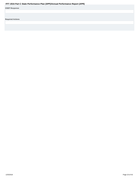<span id="page-22-0"></span>

| Fr T ZUIS Part G State Performance Plan (SPP)/Annual Performance Report (APR) |
|-------------------------------------------------------------------------------|
| <b>OSEP Response</b>                                                          |
|                                                                               |
|                                                                               |
| <b>Required Actions</b>                                                       |
|                                                                               |
|                                                                               |
|                                                                               |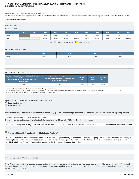#### **Indicator 7: 45-day timeline FFY 2015 Part C State Performance Plan (SPP)/Annual Performance Report (APR)**

Monitoring Priority: Effective General Supervision Part C / Child Find

**Compliance indicator: Percent of eligible infants and toddlers with IFSPs for whom an initial evaluation and initial assessment and an initial IFSP meeting were conducted within Part C's 45-day timeline.**

#### **(20 U.S.C. 1416(a)(3)(B) and 1442)**

| <b>Historical Data</b> |      |        |        |        |                               |        |                   |        |        |        |        |  |  |  |  |
|------------------------|------|--------|--------|--------|-------------------------------|--------|-------------------|--------|--------|--------|--------|--|--|--|--|
| Baseline Data: 2005    |      |        |        |        |                               |        |                   |        |        |        |        |  |  |  |  |
| <b>FFY</b>             | 2004 | 2005   | 2006   | 2007   | 2008                          | 2009   | 2010              | 2011   | 2012   | 2013   | 2014   |  |  |  |  |
| Target                 |      |        | 100%   | 100%   | 100%                          | 100%   | 100%              | 100%   | 100%   | 100%   | 100%   |  |  |  |  |
| Data                   |      | 97.30% | 99.10% | 99.30% | 99.70%                        | 98.80% | 99.60%            | 99.70% | 99.90% | 99.98% | 99.86% |  |  |  |  |
|                        |      |        |        | Key:   | Gray - Data Prior to Baseline |        | Yellow - Baseline |        |        |        |        |  |  |  |  |

#### **FFY 2015 - FFY 2018 Targets**

| FFY    | 2015 | 2016 | 2017 | 2018 |
|--------|------|------|------|------|
| Target | 100% | 100% | 100% | 100% |
|        |      |      |      |      |

#### **FFY 2015 SPP/APR Data**

| Number of eligible infants and toddlers with IFSPs for<br>whom an initial evaluation and assessment and an<br>initial IFSP meeting was conducted within Part C's<br>45-day timeline | Number of eligible infants and toddlers evaluated and<br>assessed for whom an initial IFSP meeting was<br>required to be conducted                                           | <b>FFY 2014</b><br>Data* | <b>FFY 2015</b><br>Target* | <b>FFY 2015</b><br>Data |
|-------------------------------------------------------------------------------------------------------------------------------------------------------------------------------------|------------------------------------------------------------------------------------------------------------------------------------------------------------------------------|--------------------------|----------------------------|-------------------------|
| 4.204                                                                                                                                                                               | 4.961                                                                                                                                                                        | 100%                     | 99.90%                     |                         |
| Number of documented delays attributable to exceptional family circumstances<br>within Part C's 45-day timeline" field above to calculate the numerator for this indicator.         | This number will be added to the "Number of eligible infants and toddlers with IFSPs for whom an initial evaluation and assessment and an initial IFSP meeting was conducted |                          |                            |                         |

## **What is the source of the data provided for this indicator?**

**C** State monitoring

 **State database**

**Provide the time period in which the data were collected (e.g., September through December, fourth quarter, selection from the full reporting period).**

The data is for the full reporting period of July 1, 2015 to June 30, 2016.

**Describe how the data accurately reflect data for infants and toddlers with IFSPs for the full reporting period.**

The full reporting period of July 1, 2015 to June 30, 2016 was used for collection, with all records included, so the data is by definition an accurate reflection.

# **Provide additional information about this indicator (optional)**

In FFY 15, there were five instances of a late IFSP without an exceptional family circumstance across five EIS programs. Each program received a finding of noncompliance or a finding and release letter, based on a review of subsequent data from the ITS database. Each of the five families did have an IFSP provided, albeit late. Correction was verified on each of the five records through a data review.

#### **Actions required in FFY 2014 response**

none

Note: Any actions required in last year's response that are related to correction of findings should be responded to on the "Correction of Previous Findings of Noncompliance" page of this indicator. If your State's only actions required in last year's response are related to findings of noncompliance, a text field will not be displayed on this page.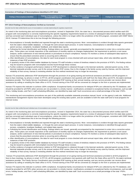#### **Correction of Findings of Noncompliance Identified in FFY 2014**

| <b>Findings of Noncompliance Verified as</b><br><b>Findings of Noncompliance Identified</b><br><b>Corrected Within One Year</b> |  | <b>Findings of Noncompliance Subsequently</b><br>Corrected | Findings Not Yet Verified as Corrected |  |  |
|---------------------------------------------------------------------------------------------------------------------------------|--|------------------------------------------------------------|----------------------------------------|--|--|
|                                                                                                                                 |  |                                                            |                                        |  |  |

#### **FFY 2014 Findings of Noncompliance Verified as Corrected**

Describe how the State verified that the source of noncompliance is correctly implementing the regulatory requirements

As noted in the monitoring plan and noncompliance procedure, revised in September 2014, the state has a documented process which verifies each EIS program with noncompliance is correctly implementing the specific regulatory requirements based on a review of subsequent data from the state data system, and has corrected each individual case of noncompliance, unless the child is no longer within the jurisdiction of the EIS program, consistent with OSEP Memo 09-02. Kansas ITS determines this to be true through the following process:

- Noncompliance is formally identified and reported through the state's monitoring process. Most noncompliance is evident through data reports generated from the state's infant-toddler database, or through the semi-annual report process. In some instances, noncompliance is identified through parent surveys, complaints, local/peer feedback, and related data reports.
- Following the formal identification and finding, findings letters are issued, generally accompanied by the requirement to enter into a corrective action plan. These plans can include imposition of the submission of monthly reports on changes implemented, the requirement to perform a root cause analysis, and/or submission of new internal policies or procedures to ensure compliance. Kansas ITS monitors a series of subsequent data reports to ensure that the prescribed corrective action is occurring and is effective.
- After identification of noncompliance, the data for each local program is cross-checked with semi-annual report data, which also identifies specific instances of late IFSP provision.
- A quarterly review of the infant-toddler database by Kansas ITS staff includes a review of timelines related to the provision of IFSP's. Pre-finding notices may be issued to programs with noncompliant records found through these reviews.
- Further evidence of program performance relative to IFSP development is obtained through 1) the biennial randomly- selected parent survey, 2) the biennial statewide provider survey, and 3) the annual random IFSP review. Due to the change in the family survey used by Kansas, and the improved reliability of that survey, Kansas is reviewing whether the first method mentioned may no longer be necessary.

Kansas ITS proactively addresses IFSP development through the provision of on-going training and technical assistance provided to all EIS programs in face-to-face meetings, by phone or email. In FFY15, all EIS program coordinators met quarterly with staff from the State office and KITS, the state's technical assistance provider. The Family Service Coordinators were provided IFSP training at their annual meeting, and any service provider can receive direct assistance by calling or emailing the State office or KITS. Formal training of the IFSP will be convened as changes to the form or process are implemented.

Kansas ITS expects this indicator to achieve 100% compliance. Exceptional family circumstances for delayed IFSPs are collected by the ITS database, and should be provided for all IFSPs when services are not provided in a timely manner. Justifications unrelated to exceptional family circumstances, such as staff errors, holiday breaks, and Part C staff scheduling difficulties, are identified by state staff. Such occurrences are a small percentage of the total IFSPs.

The monitoring and noncompliance procedures are part of the publically-available statewide procedure manual, found on the agency's web site. Additional standardized management reports have been developed using the existing data system, and are available to both the state staff and to local programs for internal review.

#### Describe how the State verified that each individual case of noncompliance was corrected

As noted in the monitoring plan and noncompliance procedure, revised in September 2014, the state has a documented process which verifies each EIS program with noncompliance is correctly implementing the specific regulatory requirements based on a review of subsequent data from the state data system, and has corrected each individual case of noncompliance, unless the child is no longer within the jurisdiction of the EIS program, consistent with OSEP Memo 09-02. Kansas ITS determines this to be true through the following process:

- Noncompliance is formally identified and reported through the state's monitoring process. Most noncompliance is evident through data reports generated from the state's infant-toddler database, or through the semi-annual report process. In some instances, noncompliance is identified through parent surveys, complaints, local/peer feedback, and related data reports.
- Following the formal identification and finding, findings letters are issued, generally accompanied by the requirement to enter into a corrective action plan. These plans can include imposition of the submission of monthly reports on changes implemented, the requirement to perform a root cause analysis, and/or submission of new internal policies or procedures to ensure compliance. Kansas ITS monitors a series of subsequent data reports to ensure that the prescribed corrective action is occurring and is effective.
- After identification of noncompliance, the data for each local program is cross-checked with semi-annual report data, which also identifies specific instances of late IFSP provision.
- A quarterly review of the infant-toddler database by Kansas ITS staff includes a review of timelines related to the provision of IFSP's. Pre-finding notices may be issued to programs with noncompliant records found through these reviews.
- Further evidence of program performance relative to IFSP development is obtained through 1) the biennial randomly- selected parent survey, 2) the biennial statewide provider survey, and 3) the annual random IFSP review. Due to the change in the family survey used by Kansas, and the improved reliability of that survey, Kansas is reviewing whether the first method mentioned may no longer be necessary.

Kansas ITS proactively addresses IFSP development through the provision of on-going training and technical assistance provided to all EIS programs in face-to-face meetings, by phone or email. In FFY15, all EIS program coordinators met quarterly with staff from the State office and KITS, the state's technical assistance provider. The Family Service Coordinators were provided IFSP training at their annual meeting, and any service provider can receive direct assistance by calling or emailing the State office or KITS. Formal training of the IFSP will be convened as changes to the form or process are implemented.

Kansas ITS expects this indicator to achieve 100% compliance. Exceptional family circumstances for delayed IFSPs are collected by the ITS database, and should be provided for all IFSPs when services are not provided in a timely manner. Justifications unrelated to exceptional family circumstances, such as staff errors, holiday breaks, and Part C staff scheduling difficulties, are identified by state staff. Such occurrences are a small percentage of the total IFSPs.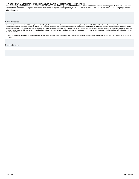<span id="page-25-0"></span>FFY 2015 Part C State Performance Plan (SPP)/Annual Performance Report (APR)<br>The monitoring and noncompliance procedures are part of the publically- available statewide procedure manual, found on the agency's web site. Add standardized management reports have been developed using the existing data system, and are available to both the state staff and to local programs for internal review.

#### **OSEP Response**

Because the State reported less than 100% compliance for FFY 2015, the State must report on the status of correction of noncompliance identified in FFY 2015 for this indicator. When reporting on the correction of noncompliance, the State must report, in the FFY 2016 SPP/APR, that it has verified that each EIS program or provider with noncompliance identified in FFY 2015 for this indicator: (1) is correctly implementing the specific regulatory requirements (i.e., achieved 100% compliance) based on a review of updated data such as data subsequently collected through on-site monitoring or a State data system; and (2) has corrected each individual case<br>o to verify the correction.

If the State did not identify any findings of noncompliance in FFY 2015, although its FFY 2015 data reflect less than 100% compliance, provide an explanation of why the State did not identify any findings of noncompliance FFY 2015.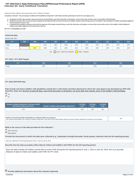#### **Indicator 8A: Early Childhood Transition FFY 2015 Part C State Performance Plan (SPP)/Annual Performance Report (APR)**

#### Monitoring Priority: Effective General Supervision Part C / Effective Transition

**Compliance indicator: The percentage of toddlers with disabilities exiting Part C with timely transition planning for whom the Lead Agency has:**

- **A. Developed an IFSP with transition steps and services at least 90 days, and at the discretion of all parties, not more than nine months, prior to the toddler's third birthday;**
- **Notified (consistent with any opt-out policy adopted by the State) the SEA and the LEA where the toddler resides at least 90 days prior to the toddler's third birthday for toddlers potentially eligible for B. Part B preschool services; and**
- C. Conducted the transition conference held with the approval of the family at least 90 days, and at the discretion of all parties, not more than nine months, prior to the toddler's third birthday for **toddlers potentially eligible for Part B preschool services.**

**(20 U.S.C. 1416(a)(3)(B) and 1442)**

#### **Historical Data**

#### Baseline Data: 2005

| FFY    | 2004 | 2005 | 2006 | 2007 | 2008 | 2009 | 2010 | 2011 | 2012 | 2013 | 2014 |
|--------|------|------|------|------|------|------|------|------|------|------|------|
| Target |      |      | 100% | 100% | 100% | 100% | 100% | 100% | 100% | 100% | 100% |
| Data   |      | 100% | 100% | 100% | 100% | 100% | 100% | 100% | 100% | 100% | 100% |

Key: Gray – Data Prior to Baseline Yellow – Baseline

#### **FFY 2015 - FFY 2018 Targets**

| <b>CCV</b><br>. | 2015 |                | 2017 | 2018           |  |
|-----------------|------|----------------|------|----------------|--|
| Target          | 100% | UU7c<br>$\sim$ | 100% | 100%<br>$\sim$ |  |

#### **FFY 2015 SPP/APR Data**

**Data include only those toddlers with disabilities exiting Part C with timely transition planning for whom the Lead Agency has developed an IFSP with transition steps and services at least 90 days, and at the discretion of all parties, not more than nine months, prior to the toddler's third birthday.** Yes

 $\bigcap_{\text{No}}$ 

| Number of children exiting Part C who have an IFSP | Number of toddlers with disabilities exiting Part C | <b>FFY 2014</b> | <b>FFY 2015</b> | <b>FFY 2015</b> |
|----------------------------------------------------|-----------------------------------------------------|-----------------|-----------------|-----------------|
| with transition steps and services                 |                                                     | Data*           | Target*         | Data            |
| 2.755                                              | 2,861                                               | 100%            | 100%            | 100%            |

| ' Numb.<br>d documented delays attributable to exceptional family circumstances<br>and sen <i>ires" field t</i> o<br>"Number of children exiting Part C who have an<br>n the<br>meiti∩n | $\sim$<br>1 U O |
|-----------------------------------------------------------------------------------------------------------------------------------------------------------------------------------------|-----------------|

**What is the source of the data provided for this indicator?**

**Provide the time period in which the data were collected (e.g., September through December, fourth quarter, selection from the full reporting period).**

Data were collected for the full reporting period of July 1, 2015 to June 30, 2016.

**Describe how the data accurately reflect data for infants and toddlers with IFSPs for the full reporting period.**

Since the data includes all children served with an active IFSP during the full reporting period of July 1, 2015 to June 30, 2016, this is an accurate reflection of data for infants and toddlers with IFSPs for FFY 2015.

State monitoring

State database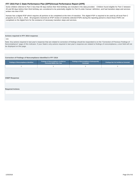<span id="page-27-0"></span>Some children referred to Part C less than 90 days before their third birthday are included in the data provided. Children found eligible for Part C between 45 and 90 days before their third birthday are considered to be potentially eligible for Part B under Kansas' definition, and had transition steps and services written into their IFSP.

Kansas has a digital IFSP which requires all portions to be completed at the time of transition. This digital IFSP is required to be used by all local Part C programs as of July 1, 2016. All programs received an IFSP review of randomly selected IFSPs during the reporting period to check those IFSPs not completed on the digital form for the existance of necessary transition steps and services.

#### **Actions required in FFY 2014 response**

#### none

Note: Any actions required in last year's response that are related to correction of findings should be responded to on the "Correction of Previous Findings of Noncompliance" page of this indicator. If your State's only actions required in last year's response are related to findings of noncompliance, a text field will not be displayed on this page.

#### **Correction of Findings of Noncompliance Identified in FFY 2014**

| <b>Findings of Noncompliance Verified as</b><br><b>Findings of Noncompliance Identified</b><br><b>Corrected Within One Year</b> |  | <b>Findings of Noncompliance Subsequently</b><br>Corrected | <b>Findings Not Yet Verified as Corrected</b> |  |  |
|---------------------------------------------------------------------------------------------------------------------------------|--|------------------------------------------------------------|-----------------------------------------------|--|--|
|                                                                                                                                 |  |                                                            |                                               |  |  |

#### **OSEP Response**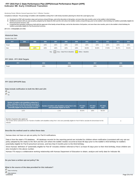#### **Indicator 8B: Early Childhood Transition FFY 2015 Part C State Performance Plan (SPP)/Annual Performance Report (APR)**

#### Monitoring Priority: Effective General Supervision Part C / Effective Transition

**Compliance indicator: The percentage of toddlers with disabilities exiting Part C with timely transition planning for whom the Lead Agency has:**

- **A. Developed an IFSP with transition steps and services at least 90 days, and at the discretion of all parties, not more than nine months, prior to the toddler's third birthday;**
- **Notified (consistent with any opt-out policy adopted by the State) the SEA and the LEA where the toddler resides at least 90 days prior to the toddler's third birthday for toddlers potentially eligible for B. Part B preschool services; and**
- C. Conducted the transition conference held with the approval of the family at least 90 days, and at the discretion of all parties, not more than nine months, prior to the toddler's third birthday for **toddlers potentially eligible for Part B preschool services.**

**(20 U.S.C. 1416(a)(3)(B) and 1442)**

#### **Historical Data**

#### Baseline Data: 2005

| <b>FFY</b> | 2004 | 2005 | 2006 | 2007 | 2008 | 2009 | 2010   | 2011   | 2012   | 2013   | 2014   |
|------------|------|------|------|------|------|------|--------|--------|--------|--------|--------|
| Target     |      |      | 100% | 100% | 100% | 100% | 100%   | 100%   | 100%   | 100%   | 100%   |
| Data       |      | 100% | 100% | 100% | 100% | 100% | 98.60% | 99.00% | 97.90% | 99.47% | 99.34% |

Key: Gray – Data Prior to Baseline Yellow – Baseline

#### **FFY 2015 - FFY 2018 Targets**

| ——     | 2015 | 2016 | 2017 | 2018 |
|--------|------|------|------|------|
| Target | 100% | 100% | 100% | 100% |

#### **FFY 2015 SPP/APR Data**

**Data include notification to both the SEA and LEA**

 Yes  $\bigcirc$ <sub>No</sub>

| Number of toddlers with disabilities exiting Part C<br>where notification to the SEA and LEA occurred at<br>least 90 days prior to their third birthday for toddlers<br>potentially eligible for Part B preschool services | Number of toddlers with disabilities exiting Part C who<br>were potentially eligible for Part B | <b>FFY 2014</b><br>Data* | <b>FFY 2015</b><br>Target* | <b>FFY 2015</b><br><b>Data</b> |
|----------------------------------------------------------------------------------------------------------------------------------------------------------------------------------------------------------------------------|-------------------------------------------------------------------------------------------------|--------------------------|----------------------------|--------------------------------|
| 2.673                                                                                                                                                                                                                      | 2.716                                                                                           | 99.34%                   | 100%                       | 98.42%                         |

| Number of parents who opted out<br>This number will be subtracted from the "Number of toddlers with disabilities exiting Part C who were potentially eligible for Part B" field to calculate the denominator for this<br>indicator |  |
|------------------------------------------------------------------------------------------------------------------------------------------------------------------------------------------------------------------------------------|--|

#### **Describe the method used to collect these data**

Kansas does not have an opt-out policy for Part B notifications.

Data is from the state's ITS database. All database records for the reporting period are included for children where notification (consistent with any opt-out policy adopted by the state) to the SEA and the LEA where the toddler resides occurred at least 90 days prior to the toddler's third birthday for toddlers potentially eligible for Part B preschool services, and less than 9 months prior to the third birthday.

Since Kansas' definition of "potentially eligible for Part B" includes children referred to Part C at least 45 days prior to their third birthday, those children are also included in the above number.

Kansas ITS enjoys a collaborative working relationship with Kansas Deparment of Education to obtain, analyze and verify data for Indicator 8b.

**Do you have a written opt-out policy? No**

#### **What is the source of the data provided for this indicator?**

State monitoring State database<br>1/25/2018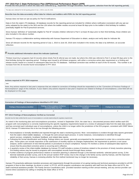FFY 2015 Part C State Performance Plan (SPP)/Annual Performance Report (APR)<br>Provide the time period in which the data were collected (e.g., September through December, fourth quarter, selection from the full reporting per

The data were collected for the full reporting period of July 1, 2015 to June 30, 2016.

**Describe how the data accurately reflect data for infants and toddlers with IFSPs for the full reporting period.**

Kansas does not have an opt-out policy for Part B notifications.

Data is from the state's ITS database. All database records for the reporting period are included for children where notification (consistent with any opt-out policy adopted by the state) to the SEA and the LEA where the toddler resides occurred at least 90 days prior to the toddler's third birthday for toddlers potentially eligible for Part B preschool services.

Since Kansas' definition of "potentially eligible for Part B" includes children referred to Part C at least 45 days prior to their third birthday, those children are also included in the above number.

Kansas ITS enjoys a collaborative working relationship with Kansas Deparment of Education to obtain, analyze and verify data for Indicator 8b.

Since all relevant records for the reporting period of July 1, 2015 to June 30, 2016 were included in the review, the data is by definition, an accurate reflection.

## **Provide additional information about this indicator (optional)**

Thirteen local tiny-k programs had 43 records where timely Part B referral was not made, but where the child was referred to Part C at least 90 days prior to the third birthday during this reporting period. Findings were issued to all thirteen programs, with either a corrective action plan requirement or a finding and release issued, based on a review of subsequent data from the ITS database. Individual correction was verified on each of the 43 records. This number is an increase from the 16 records found noncompliant in FFY 2014.

#### **Actions required in FFY 2014 response**

#### none

Note: Any actions required in last year's response that are related to correction of findings should be responded to on the "Correction of Previous Findings of Noncompliance" page of this indicator. If your State's only actions required in last year's response are related to findings of noncompliance, a text field will not be displayed on this page.

#### **Correction of Findings of Noncompliance Identified in FFY 2014**

| Findings of Noncompliance Verified as<br><b>Findings of Noncompliance Identified</b><br>Corrected Within One Year |  | <b>Findings of Noncompliance Subsequently</b><br>Corrected | <b>Findings Not Yet Verified as Corrected</b> |  |  |
|-------------------------------------------------------------------------------------------------------------------|--|------------------------------------------------------------|-----------------------------------------------|--|--|
|                                                                                                                   |  |                                                            |                                               |  |  |

#### **FFY 2014 Findings of Noncompliance Verified as Corrected**

Describe how the State verified that the source of noncompliance is correctly implementing the regulatory requirements

As noted in the monitoring plan and noncompliance procedure, revised in September 2014, the state has a documented process which verifies each EIS program with noncompliance is correctly implementing the specific regulatory requirements based on a review of subsequent data from the state data system, and has corrected each individual case of noncompliance, unless the child is no longer within the jurisdiction of the EIS program, consistent with OSEP Memo 09-02. Kansas ITS determines this to be true through the following process:

- Noncompliance is formally identified and reported through the state's monitoring process. Most noncompliance is evident through data reports generated from the state's infant-toddler database, or through the semi-annual report process. In some instances, noncompliance is identified through parent surveys, complaints, local/peer feedback, and related data reports.
- Following the formal identification and finding, findings letters are issued, generally accompanied by the requirement to enter into a corrective action plan. These plans can include imposition of the submission of monthly reports on changes implemented, the requirement to perform a root cause analysis, and/or submission of new internal policies or procedures to ensure compliance. Kansas ITS monitors a series of subsequent data reports to ensure that the prescribed corrective action is occurring and is effective.
- A quarterly review of the infant-toddler database by Kansas ITS staff includes a review of timelines related to the provision of timely transition planning. Pre-finding notices may be issued to programs with noncompliant records found through these reviews.
- Further evidence of program performance relative to transition planning is obtained through 1) the biennial randomly- selected parent survey, 2) the biennial statewide provider survey, and 3) the annual random IFSP review. Due to the change in the family survey used by Kansas, and the improved reliability of that survey, Kansas is reviewing whether the first method mentioned may no longer be necessary.

Kansas ITS proactively addresses transition processes and requirements through the provision of on-going training and technical assistance provided to all EIS programs in face-to-face meetings, by phone or email. In FFY15, all EIS program coordinators met quarterly with staff from the State office and KITS, the state's technical assistance provider. The Family Service Coordinators were provided transition training at their annual meeting, and any service provider can receive direct assistance by calling or emailing the State office or KITS.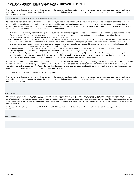<span id="page-30-0"></span>Kansas ITS expects this indicator to achieve 100% compliance.

The monitoring and noncompliance procedures are part of the publically-available statewide procedure manual, found on the agency's web site. Additional standardized management reports have been developed using the existing data system, and are available to both the state staff and to local programs for periodic internal review.

Describe how the State verified that each individual case of noncompliance was corrected

As noted in the monitoring plan and noncompliance procedure, revised in September 2014, the state has a documented process which verifies each EIS program with noncompliance is correctly implementing the specific regulatory requirements based on a review of subsequent data from the state data system, and has corrected each individual case of noncompliance, unless the child is no longer within the jurisdiction of the EIS program, consistent with OSEP Memo 09-02. Kansas ITS determines this to be true through the following process:

- Noncompliance is formally identified and reported through the state's monitoring process. Most noncompliance is evident through data reports generated from the state's infant-toddler database, or through the semi-annual report process. In some instances, noncompliance is identified through parent surveys, complaints, local/peer feedback, and related data reports.
- Following the formal identification and finding, findings letters are issued, generally accompanied by the requirement to enter into a corrective action plan. These plans can include imposition of the submission of monthly reports on changes implemented, the requirement to perform a root cause analysis, and/or submission of new internal policies or procedures to ensure compliance. Kansas ITS monitors a series of subsequent data reports to ensure that the prescribed corrective action is occurring and is effective.
- A quarterly review of the infant-toddler database by Kansas ITS staff includes a review of timelines related to the provision of timely transition planning. Pre-finding notices may be issued to programs with noncompliant records found through these reviews.
- Further evidence of program performance relative to transition planning is obtained through 1) the biennial randomly- selected parent survey, 2) the biennial statewide provider survey, and 3) the annual random IFSP review. Due to the change in the family survey used by Kansas, and the improved reliability of that survey, Kansas is reviewing whether the first method mentioned may no longer be necessary.

Kansas ITS proactively addresses transition processes and requirements through the provision of on-going training and technical assistance provided to all EIS programs in face-to-face meetings, by phone or email. In FFY15, all EIS program coordinators met quarterly with staff from the State office and KITS, the state's technical assistance provider. The Family Service Coordinators were provided transition training at their annual meeting, and any service provider can receive direct assistance by calling or emailing the State office or KITS.

Kansas ITS expects this indicator to achieve 100% compliance.

The monitoring and noncompliance procedures are part of the publically-available statewide procedure manual, found on the agency's web site. Additional standardized management reports have been developed using the existing data system, and are available to both the state staff and to local programs for internal periodic review.

#### **OSEP Response**

Because the State reported less than 100% compliance for FFY 2015, the State must report on the status of correction of noncompliance identified in FFY 2015 for this indicator. When reporting on the correction of noncompliance, the State must report, in the FFY 2016 SPP/APR, that it has verified that each EIS program or provider with noncompliance identified in FFY 2015 for this indicator: (1) is correctly implementing the specific regulatory requirements (i.e., achieved 100% compliance) based on a review of updated data such as data subsequently collected through on-site monitoring or a State data system; and (2) has corrected each individual case of noncompliance, unless the child is no longer within the jurisdiction of the EIS program or provider, consistent with OSEP Memo 09-02. In the FFY 2016 SPP/APR, the State must describe the specific actions that were taken to verify the correction.

If the State did not identify any findings of noncompliance in FFY 2015, although its FFY 2015 data reflect less than 100% compliance, provide an explanation of why the State did not identify any findings of noncompliance FFY 2015.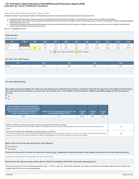#### **Indicator 8C: Early Childhood Transition FFY 2015 Part C State Performance Plan (SPP)/Annual Performance Report (APR)**

#### Monitoring Priority: Effective General Supervision Part C / Effective Transition

**Compliance indicator: The percentage of toddlers with disabilities exiting Part C with timely transition planning for whom the Lead Agency has:**

- **A. Developed an IFSP with transition steps and services at least 90 days, and at the discretion of all parties, not more than nine months, prior to the toddler's third birthday;**
- **Notified (consistent with any opt-out policy adopted by the State) the SEA and the LEA where the toddler resides at least 90 days prior to the toddler's third birthday for toddlers potentially eligible for B. Part B preschool services; and**
- C. Conducted the transition conference held with the approval of the family at least 90 days, and at the discretion of all parties, not more than nine months, prior to the toddler's third birthday for **toddlers potentially eligible for Part B preschool services.**

**(20 U.S.C. 1416(a)(3)(B) and 1442)**

#### **Historical Data**

#### Baseline Data: 2005

| <b>FFY</b> | 2004 | 2005 | 2006 | 2007 | 2008 | 2009 | 2010   | 2011   | 2012   | 2013   | 2014   |
|------------|------|------|------|------|------|------|--------|--------|--------|--------|--------|
| Target     |      |      | 100% | 100% | 100% | 100% | 100%   | 100%   | 100%   | 100%   | 100%   |
| Data       |      | 100% | 100% | 100% | 100% | 100% | 42.30% | 99.20% | 98.30% | 98.71% | 99.70% |

Key: Gray – Data Prior to Baseline Yellow – Baseline

#### **FFY 2015 - FFY 2018 Targets**

| <b>CCV</b><br>. | 2015 | 2016 | 2017 | 2018           |
|-----------------|------|------|------|----------------|
| Target          | 100% | UU70 | 100% | 100%<br>$\sim$ |

#### **FFY 2015 SPP/APR Data**

**Data reflect only those toddlers for whom the Lead Agency has conducted the transition conference held with the approval of the family at least 90 days, and at the discretion of all parties, not more than nine months, prior to the toddler's third birthday for toddlers potentially eligible for Part B preschool services**

# Yes

 $\bigcirc$ <sub>No</sub>

| Number of toddlers with disabilities exiting Part C<br>where the transition conference occurred at least 90<br>days, and at the discretion of all parties at least nine<br>months prior to the toddler's third birthday for<br>toddlers potentially eligible for Part B | Number of toddlers with disabilities exiting Part C who<br>were potentially eligible for Part B | <b>FFY 2014</b><br>Data* | <b>FFY 2015</b><br>Target* | <b>FFY 2015</b><br>Data |
|-------------------------------------------------------------------------------------------------------------------------------------------------------------------------------------------------------------------------------------------------------------------------|-------------------------------------------------------------------------------------------------|--------------------------|----------------------------|-------------------------|
| 2.380                                                                                                                                                                                                                                                                   | 2.716                                                                                           | 99.70%                   | 100%                       | 99.51%                  |

| Number of toddlers for whom the parent did not provide approval for the transition conference<br>This number will be subtracted from the "Number of toddlers with disabilities exiting Part C who were potentially eligible for Part B" field to calculate the denominator for this<br>indicator.                                                                                                                                      | 89  |
|----------------------------------------------------------------------------------------------------------------------------------------------------------------------------------------------------------------------------------------------------------------------------------------------------------------------------------------------------------------------------------------------------------------------------------------|-----|
| Number of documented delays attributable to exceptional family circumstances<br>This number will be added to the "Number of toddlers with disabilities exiting Part C where the transition conference occurred at least 90 days, and at the discretion of all parties<br>at least nine months prior to the toddler's third birthday for toddlers potentially eligible for Part B" field to calculate the numerator for this indicator. | 234 |

#### **What is the source of the data provided for this indicator?**

State monitoring **C** State database

**Provide the time period in which the data were collected (e.g., September through December, fourth quarter, selection from the full reporting period).**

The data were collected for the full reporting period of July 1, 2015 to June 30, 2016.

**Describe how the data accurately reflect data for infants and toddlers with IFSPs for the full reporting period.**

Since all records for the full reporting period of July 1, 2015 to June 30, 2016 were collected, the results by definition accurately reflect data for infants and toddlers with IFSPs for this reporting period.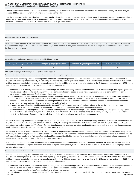**Provide additional information about this indicator (optional)**

Of the transition conferences held during this reporting period, 247 of them were held less than 90 days before the child's third birthday. Of these delayed records, 234 had exceptional family circumstance reasons for the delay.

Five tiny-k programs had 13 records where there was a delayed transition conference without an exceptional famiy circumstance reason. Each program had a finding issued, with either a corrective action plan imposed, or a finding and release issued, depending on the review of subsequent data from the ITS database. Correction of each of the 13 records was verified through a data review.

#### **Actions required in FFY 2014 response**

#### none

Note: Any actions required in last year's response that are related to correction of findings should be responded to on the "Correction of Previous Findings of Noncompliance" page of this indicator. If your State's only actions required in last year's response are related to findings of noncompliance, a text field will not be displayed on this page.

#### **Correction of Findings of Noncompliance Identified in FFY 2014**

| Findings of Noncompliance Verified as<br><b>Findings of Noncompliance Identified</b><br><b>Corrected Within One Year</b> |  | Findings of Noncompliance Subsequently<br>Corrected | <b>Findings Not Yet Verified as Corrected</b> |
|--------------------------------------------------------------------------------------------------------------------------|--|-----------------------------------------------------|-----------------------------------------------|
|                                                                                                                          |  | nul                                                 |                                               |

#### **FFY 2014 Findings of Noncompliance Verified as Corrected**

Describe how the State verified that the source of noncompliance is correctly implementing the regulatory requirements

As noted in the monitoring plan and noncompliance procedure, revised in September 2014, the state has a documented process which verifies each EIS program with noncompliance is correctly implementing the specific regulatory requirements based on a review of subsequent data from the state data system, and has corrected each individual case of noncompliance, unless the child is no longer within the jurisdiction of the EIS program, consistent with OSEP Memo 09-02. Kansas ITS determines this to be true through the following process:

- Noncompliance is formally identified and reported through the state's monitoring process. Most noncompliance is evident through data reports generated from the state's infant-toddler database, or through the semi-annual report process. In some instances, noncompliance is identified through parent surveys, complaints, local/peer feedback, and related data reports.
- Following the formal identification and finding, findings letters are issued, generally accompanied by the requirement to enter into a corrective action plan. These plans can include imposition of the submission of monthly reports on changes implemented, the requirement to perform a root cause analysis, and/or submission of new internal policies or procedures to ensure compliance. Kansas ITS monitors a series of subsequent data reports to ensure that the prescribed corrective action is occurring and is effective.
- A quarterly review of the infant-toddler database by Kansas ITS staff includes a review of timelines related to the provision of timely transition conferences. Pre-finding notices may be issued to programs with noncompliant records found through these reviews.
- Further evidence of program performance relative to transition processes is obtained through 1) the biennial randomly- selected parent survey, 2) the biennial statewide provider survey, and 3) the annual random IFSP review. Due to the change in the family survey used by Kansas, and the improved reliability of that survey, Kansas is reviewing whether the first method mentioned may no longer be necessary.

Kansas ITS proactively addresses transition processes and requirements through the provision of on-going training and technical assistance provided to all EIS programs in face-to-face meetings, by phone or email. In FFY15, all EIS program coordinators met quarterly with staff from the State office and KITS, the state's technical assistance provider. The Family Service Coordinators were provided transition training at their annual meeting, and any service provider can receive direct assistance by calling or emailing the State office or KITS.

Kansas ITS expects this indicator to achieve 100% compliance. Exceptional family circumstances for delayed transition conferences are collected by the ITS database, and should be provided for all conferences not completed in a timely manner. Justifications unrelated to exceptional family circumstances, such as staff errors, holiday breaks, and Part C staff scheduling difficulties, are identified by state staff and result in issuance of a finding to the local program. Such occurrences are a small percentage of the total transition conferences.

The monitoring and noncompliance procedures are part of the publically-available statewide procedure manual, found on the agency's web site. Additional standardized management reports have been developed using the existing data system, and are available to both the state staff and to local programs for periodic internal review.

Describe how the State verified that each individual case of noncompliance was corrected

As noted in the monitoring plan and noncompliance procedure, revised in September 2014, the state has a documented process which verifies each EIS program with noncompliance is correctly implementing the specific regulatory requirements based on a review of subsequent data from the state data system, and has corrected each individual case of noncompliance, unless the child is no longer within the jurisdiction of the EIS program, consistent with OSEP Memo 09-02. Kansas ITS determines this to be true through the following process:

- Noncompliance is formally identified and reported through the state's monitoring process. Most noncompliance is evident through data reports generated from the state's infant-toddler database, or through the semi-annual report process. In some instances, noncompliance is identified through parent surveys, complaints, local/peer feedback, and related data reports.
- Following the formal identification and finding, findings letters are issued, generally accompanied by the requirement to enter into a corrective action 1/25/2018 Page 33 of 43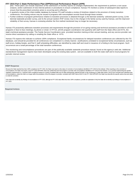<span id="page-33-0"></span>plan. These plans can include imposition of the submission of monthly reports on changes implemented, the requirement to perform a root cause analysis, and/or submission of new internal policies or procedures to ensure compliance. Kansas ITS monitors a series of subsequent data reports to ensure that the prescribed corrective action is occurring and is effective.

- A quarterly review of the infant-toddler database by Kansas ITS staff includes a review of timelines related to the provision of timely transition conferences. Pre-finding notices may be issued to programs with noncompliant records found through these reviews.
- Further evidence of program performance relative to transition processes is obtained through 1) the biennial randomly- selected parent survey, 2) the biennial statewide provider survey, and 3) the annual random IFSP review. Due to the change in the family survey used by Kansas, and the improved reliability of that survey, Kansas is reviewing whether the first method mentioned may no longer be necessary.

Kansas ITS proactively addresses transition processes and requirements through the provision of on-going training and technical assistance provided to all EIS programs in face-to-face meetings, by phone or email. In FFY15, all EIS program coordinators met quarterly with staff from the State office and KITS, the state's technical assistance provider. The Family Service Coordinators were provided transition training at their annual meeting, and any service provider can receive direct assistance by calling or emailing the State office or KITS.

Kansas ITS expects this indicator to achieve 100% compliance. Exceptional family circumstances for delayed transition conferences are collected by the ITS database, and should be provided for all conferences not completed in a timely manner. Justifications unrelated to exceptional family circumstances, such as staff errors, holiday breaks, and Part C staff scheduling difficulties, are identified by state staff and result in issuance of a finding to the local program. Such occurrences are a small percentage of the total transition conferences.

The monitoring and noncompliance procedures are part of the publically-available statewide procedure manual, found on the agency's web site. Additional standardized management reports have been developed using the existing data system, and are available to both the state staff and to local programs for periodic internal review.

#### **OSEP Response**

Because the State reported less than 100% compliance for FFY 2015, the State must report on the status of correction of noncompliance identified in FFY 2015 for this indicator. When reporting on the correction of noncompliance, the State must report, in the FFY 2016 SPP/APR, that it has verified that each EIS program or provider with noncompliance identified in FFY 2015 for this indicator: (1) is correctly implementing the specific regulatory requirements (i.e., achieved 100% compliance) based on a review of updated data such as data subsequently collected through on-site monitoring or a State data system; and (2) has corrected each individual case of noncompliance, unless the child is no longer within the jurisdiction of the EIS program or provider, consistent with OSEP Memo 09-02. In the FFY 2016 SPP/APR, the State must describe the specific actions that were taken to verify the correction.

If the State did not identify any findings of noncompliance in FFY 2015, although its FFY 2015 data reflect less than 100% compliance, provide an explanation of why the State did not identify any findings of noncompliance FFY 2015.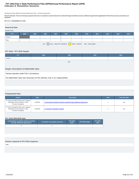#### **Indicator 9: Resolution Sessions FFY 2015 Part C State Performance Plan (SPP)/Annual Performance Report (APR)**

Monitoring Priority: Effective General Supervision Part C / General Supervision

**Results indicator: Percent of hearing requests that went to resolution sessions that were resolved through resolution session settlement agreements (applicable if Part B due process procedures are adopted).**

#### **(20 U.S.C. 1416(a)(3)(B) and 1442)**

#### **Historical Data**

| Baseline Data:                                                                |      |      |      |      |      |      |      |      |      |      |      |
|-------------------------------------------------------------------------------|------|------|------|------|------|------|------|------|------|------|------|
| <b>FFY</b>                                                                    | 2004 | 2005 | 2006 | 2007 | 2008 | 2009 | 2010 | 2011 | 2012 | 2013 | 2014 |
| Target $\geq$                                                                 |      |      |      |      |      |      |      |      |      |      |      |
| Data                                                                          |      |      |      |      |      |      |      |      |      |      |      |
| Gray – Data Prior to Baseline<br>Yellow - Baseline Blue - Data Update<br>Key: |      |      |      |      |      |      |      |      |      |      |      |

#### **FFY 2015 - FFY 2018 Targets**

| FFY           | 2015 | 2016 | 2017 | 2018 |
|---------------|------|------|------|------|
| Target $\geq$ |      |      |      |      |
|               |      | Key: |      |      |

#### **Targets: Description of Stakeholder Input**

Kansas operates under Part C procedures.

No stakeholder input was necessary for this indicator, due to its inapplicability.

#### **Prepopulated Data**

| <b>Source</b>                                                                                          | <b>Date</b> | <b>Description</b>                                                       | <b>Data</b> | <b>Overwrite Data</b> |
|--------------------------------------------------------------------------------------------------------|-------------|--------------------------------------------------------------------------|-------------|-----------------------|
| SY 2015-16 EMAPS IDEA Part C Dispute<br>Resolution Survey; Section C: Due<br><b>Process Complaints</b> | 11/2/2016   | 3.1(a) Number resolution sessions resolved through settlement agreements | n           | null                  |
| SY 2015-16 EMAPS IDEA Part C Dispute<br>Resolution Survey; Section C: Due<br><b>Process Complaints</b> | 11/2/2016   | 3.1 Number of resolution sessions                                        |             | null                  |

#### **FFY 2015 SPP/APR Data**

| 3.1(a) Number resolution sessions resolved<br>through settlement agreements |  | 3.1 Number of resolution sessions | <b>FFY 2014</b><br>Data* | FFY 2015 Target* | <b>FFY 2015</b><br>Data <sup>1</sup> |
|-----------------------------------------------------------------------------|--|-----------------------------------|--------------------------|------------------|--------------------------------------|
|                                                                             |  |                                   |                          |                  |                                      |

#### **Actions required in FFY 2014 response**

none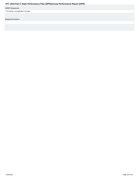#### <span id="page-35-0"></span>**OSEP Response**

This indicator is not applicable to the State.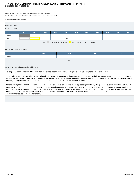## **Indicator 10: Mediation FFY 2015 Part C State Performance Plan (SPP)/Annual Performance Report (APR)**

Monitoring Priority: Effective General Supervision Part C / General Supervision

**Results indicator: Percent of mediations held that resulted in mediation agreements.**

#### **(20 U.S.C. 1416(a)(3)(B) and 1442)**

| <b>Historical Data</b>                                                           |      |      |      |      |      |      |      |      |      |      |      |
|----------------------------------------------------------------------------------|------|------|------|------|------|------|------|------|------|------|------|
| Baseline Data: 2005                                                              |      |      |      |      |      |      |      |      |      |      |      |
| <b>FFY</b>                                                                       | 2004 | 2005 | 2006 | 2007 | 2008 | 2009 | 2010 | 2011 | 2012 | 2013 | 2014 |
| Target $\geq$                                                                    |      |      |      |      |      |      |      |      |      |      |      |
| Data                                                                             |      |      |      |      | 100% |      |      |      |      |      |      |
| Gray - Data Prior to Baseline<br>Yellow - Baseline<br>Blue - Data Update<br>Key: |      |      |      |      |      |      |      |      |      |      |      |

#### **FFY 2015 - FFY 2018 Targets**

| FFY           | 2015 | 2016 | 2017 | 2018 |  |  |  |  |  |
|---------------|------|------|------|------|--|--|--|--|--|
| Target $\geq$ |      |      |      |      |  |  |  |  |  |
| Key           |      |      |      |      |  |  |  |  |  |

#### **Targets: Description of Stakeholder Input**

No target has been established for this indicator. Kansas recorded no mediation requests during the applicable reporting period.

Historically, Kansas has had a low number of mediation requests, with none registered during the reporting period. Kansas trained three additional mediators during the early portion of FFY 2013, in order to have a more current list of trained mediators, and has provided other training over the past two years to assist local tiny-k programs in conflict resolution and to educate them on the available mediation process.

Kansas, during the FFY 2010 reporting period, revised the procedural safeguards and due process procedures, along with the public information material. The materials were revised again during the 2011 and 2012 reporting periods to reflect the new Part C regulatory language. These revised procedures utilize the Part C requirements. Specific information on the available processes is included in all revised informational material created for use by parents and the local tiny-k programs. These materials are available on the Kansas ITS web site. The materials outline that a party may request medication at any time by submitting the request to KDHE/ Kansas ITS.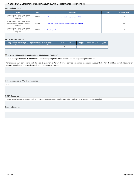#### <span id="page-37-0"></span>**Prepopulated Data**

| <b>Source</b>                                                                               | <b>Description</b><br><b>Date</b> |                                                                     | <b>Data</b> | <b>Overwrite Data</b> |
|---------------------------------------------------------------------------------------------|-----------------------------------|---------------------------------------------------------------------|-------------|-----------------------|
| SY 2015-16 EMAPS IDEA Part C Dispute<br>Resolution Survey; Section B: Mediation<br>Requests | 11/2/2016                         | 2.1.a.i Mediations agreements related to due process complaints     | n           | null                  |
| SY 2015-16 EMAPS IDEA Part C Dispute<br>Resolution Survey; Section B: Mediation<br>Requests | 11/2/2016                         | 2.1.b.i Mediations agreements not related to due process complaints | n           | null                  |
| SY 2015-16 EMAPS IDEA Part C Dispute<br>Resolution Survey; Section B: Mediation<br>Requests | 11/2/2016                         | 2.1 Mediations held                                                 | n           | null                  |

#### **FFY 2015 SPP/APR Data**

| 2.1.a.i Mediations agreements<br>2.1.b. Mediations agreements not<br>related to due process complaints related to due process complaints |  | 2.1 Mediations held | <b>FFY 2014</b><br>Data* | FFY 2015 Target* | <b>FFY 2015</b><br>Data |
|------------------------------------------------------------------------------------------------------------------------------------------|--|---------------------|--------------------------|------------------|-------------------------|
|                                                                                                                                          |  |                     |                          |                  |                         |

# **Provide additional information about this indicator (optional)**

Due to having fewer than 10 mediations in any of the past years, this indicator does not require targets to be set.

Kansas does have agreements with the state Department of Administrative Hearings concerning procedural safeguards for Part C, and has provided training for persons agreeing to act as mediators, if any requests are recieved.

#### **Actions required in FFY 2014 response**

none

#### **OSEP Response**

The State reported fewer than ten mediations held in FFY 2015. The State is not required to provide targets until any fiscal year in which ten or more mediations were held.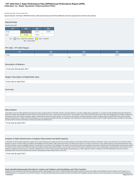#### **Indicator 11: State Systemic Improvement Plan FFY 2015 Part C State Performance Plan (SPP)/Annual Performance Report (APR)**

#### Monitoring Priority: General Supervision

**Results indicator: The State's SPP/APR includes a State Systemic Improvement Plan (SSIP) that meets the requirements set forth for this indicator.**

#### **Reported Data**



#### **FFY 2016 - FFY 2018 Targets**

| <b>FFY</b> | 2016   | 2017   | 2018   |  |  |  |  |  |
|------------|--------|--------|--------|--|--|--|--|--|
| Target     | 42.25% | 42.50% | 45.00% |  |  |  |  |  |
| Key:       |        |        |        |  |  |  |  |  |

#### **Description of Measure**

To be sent during April 2017

#### **Targets: Description of Stakeholder Input**

| To be sent in April 2017. |  |  |
|---------------------------|--|--|
|                           |  |  |

#### **Overview**

#### **Data Analysis**

A description of how the State identified and analyzed key data, including data from SPP/APR indicators, 618 data collections, and other available data as applicable, to: (1) select the State-identified Measurable Result(s Infants and Toddlers with Disabilities and their Families, and (2) identify root causes contributing to low performance. The description must include information about how the data were disaggregated by multiple variables EIS program and/or EIS provider, geographic region, race/ethnicity, socioeconomic status, gender, etc.) As part of its data analysis, the State should also consider compliance data and whether those data present potential barriers to improvement. In addition, if the State identifies any concerns about the quality of the data, the description must include how the State will address these concerns. Finally, if additional data are needed, the should include the methods and timelines to collect and analyze the additional data.

To be sent by April 2017

#### **Analysis of State Infrastructure to Support Improvement and Build Capacity**

A description of how the State analyzed the capacity of its current trirastructure to support improvement and build capacity in EIS programs and/or EIS providers to implement, scale up, and sustain the use of evidence-base practices to improve results for infants and toddlers with disabilities and their families. State systems that make up its infrastructure include, at a minimum: governance, fiscal, quality standards, professional developme technical assistance, and accountability/monitoring. The description must include current strengths of the systems, the extent the systems are coordinated, and areas for improvement of functioning within and across the sys The State must also identify current State-level improvement plans and other early learning initiatives, such as Race to the Top-Early Learning Challenge and the Home Visiting program and describe the extent that these new initiatives are aligned, and how they are, or could be, integrated with, the SSIP. Finally, the State should identify representatives (e.g., offices, agencies, positions, individuals, and other stakeholders) that were invo developing Phase I of the SSIP and that will be involved in developing and implementing Phase II of the SSIP.

To be sent by April 2017.

**State-identified Measurable Result(s) for Infants and Toddlers with Disabilities and Their Families**

A statement of the result(s) the State intends to achieve through the implementation of the SSIP. The State-identified Measurable Result(s) for Infants and Toddlers with Disabilities and their Families must be aligned to a SPP/APR indicator or a component of an SPP/APR indicator. The State-identified Measurable Result(s) for Infants and Toddlers with Disabilities and their Families must be clearly based on the Data and State Infrastructure 1/25/2018 Page 39 of 43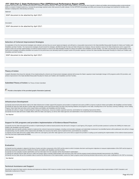# FFY 2015 Part C State Performance Plan (SPP)/Annual Performance Report (APR)<br>Analyses and must be a child- or family-level outcome in contrast to a process outcome. The State may select a single result (e.g., increase the

skills) or a cluster of related results (e.g., increase the percentage reported under child outcome B under Indicator 3 of the SPP/APR (knowledge and skills) and increase the percentage trend reported for families under Indicator 4 (helping their child develop and learn)).

Statement

SSIP document to be attached by April 2017.

**Description** 

SSIP document to be attached by April 2017.

#### **Selection of Coherent Improvement Strategies**

An explanation of how the improvement strategies were selected, and why they are sound, logical and aligned, and will lead to a measurable improvement in the State-identified Measurable Result(s) for Infants and Toddlers w Disabilities and their Families. The improvement strategies should include the strategies, identified through the Data and State Infrastructure Analyses, that are needed to improve the State infrastructure and to support EIS program and/or EIS provider implementation of evidence-based practices to improve the State-identified result(s) for infants and toddlers with disabilities and their families. The State must describe how implementation of improvement strategies will address identified root causes for low performance and ultimately build EIS program and/or EIS provider capacity to achieve the State-identified Measurable Result(s) for Infants and Toddlers with Disabilities and their Families.

SSIP document to be attached by April 2017.

#### **Theory of Action**

A graphic illustration that shows the rationale of how implementing the coherent set of improvement strategies selected will increase the State's capacity to lead meaningful change in EIS programs and/or EIS providers, and achieve improvement in the State-identified Measurable Result(s) for Infants and Toddlers with Disabilities and their Families.

**Submitted Theory of Action: No Theory of Action Submitted** 

**Provide a description of the provided graphic illustration (optional)** 

#### **Infrastructure Development**

(a) Specify improvements that will be made to the State infrastructure to better support EIS programs and providers to implement and scale up EBPs to improve results for infants and toddlers with disabilities and their fam (b) Identify the steps the State will take to further align and leverage current improvement plans and other early learning initiatives and programs in the State, including Race to the Top-Early Learning Challenge, Home Vi Program, Early Head Start and others which impact infants and toddlers with disabilities and their families.

(c) Identify who will be in charge of implementing the changes to infrastructure, resources needed, expected outcomes, and timelines for completing improvement efforts.

(d) Specify how the State will involve multiple offices within the State Lead Agency, as well as other State agencies and stakeholders in the improvement of its infrastructure.

See Attached

#### **Support for EIS programs and providers Implementation of Evidence-Based Practices**

(a) Specify how the State will support EIS providers in implementing the evidence-based practices that will result in changes in Lead Agency, EIS program, and EIS provider practices to achieve the SIMR(s) for infants and toddlers with disabilities and their families.

(b) Identify steps and specific activities needed to implement the coherent improvement strategies, including communication strategies and stakeholder involvement; how identified barriers will be addressed; who will be in of implementing; how the activities will be implemented with fidelity; the resources that will be used to implement them; and timelines for completion.

(c) Specify how the State will involve multiple offices within the Lead Agency (and other State agencies such as the SEA) to support EIS providers in scaling up and sustaining the implementation of the evidence-based pract once they have been implemented with fidelity.

See Attached

#### **Evaluation**

(a) Specify how the evaluation is aligned to the theory of action and other components of the SSIP and the extent to which it includes short-term and long-term objectives to measure implementation of the SSIP and its impac achieving measurable improvement in SIMR(s) for infants and toddlers with disabilities and their families.

(b) Specify how the evaluation includes stakeholders and how information from the evaluation will be disseminated to stakeholders.

(c) Specify the methods that the State will use to collect and analyze data to evaluate implementation and outcomes of the SSIP and the progress toward achieving intended improvements in the SIMR(s).

(d) Specify how the State will use the evaluation data to examine the effectiveness of the implementation; assess the State's progress toward achieving intended improvements; and to make modifications to the SSIP as necess

See Attached

#### **Technical Assistance and Support**

Describe the support the State needs to develop and implement an effective SSIP. Areas to consider include: Infrastructure development; Support for EIS programs and providers implementation of EBP; Evaluation; and Stakeholder involvement in Phase II.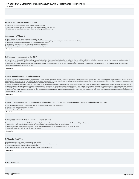See Attached

#### **Phase III submissions should include:**

• Data-based justifications for any changes in implementation activities.

- Data to support that the State is on the right path, if no adjustments are being proposed. • Descriptions of how stakeholders have been involved, including in decision-making.
- 

#### **A. Summary of Phase 3**

1. Theory of action or logic model for the SSIP, including the SiMR.

2. The coherent improvement strategies or principle activities employed during the year, including infrastructure improvement strategies.

3. The specific evidence-based practices that have been implemented to date.

4. Brief overview of the year's evaluation activities, measures, and outcomes. 5. Highlights of changes to implementation and improvement strategies.

See Attached

#### **B. Progress in Implementing the SSIP**

1. Description of the State's SSIP implementation progress: (a) Description of extent to which the State has carried out its planned activities with fidelity—what has been accomplished, what milestones have been met, and whether the intended timeline has been followed and (b) Intended outputs that have been accomplished as a result of the implementation activities.

2. Stakeholder involvement in SSIP implementation: (a) How stakeholders have been informed of the ongoing implementation of the SSIP and (b) How stakeholders have had a voice and been involved in decision-making regarding the ongoing implementation of the SSIP.

See Attached

#### **C. Data on Implementation and Outcomes**

1. How the State monitored and measured outputs to assess the effectiveness of the implementation plan: (a) How evaluation measures align with the theory of action, (b) Data sources for each key measure, (c) Description of baseline data for key measures, (d) Data collection procedures and associated timelines, (e) [If applicable] Sampling procedures, (f) [If appropriate] Planned data comparisons, and (g) How data management and data analysis procedures allow for assessment of progress toward achieving intended improvements

2. How the State has demonstrated progress and made modifications to the SSIP as necessary: (a) How the State has reviewed key data that provide evidence regarding progress toward achieving intended improvements to infrastructure and the SiMR, (b) Evidence of change to baseline data for key measures, (c) How data support changes that have been made to implementation and improvement strategies, (d) How data are informing next steps in the SSIP implementation, and (e) How data support planned modifications to intended outcomes (including the SIMR)—rationale or justification for the changes or how data support that the SSIP is on the right path 3. Stakeholder involvement in the SSIP evaluation: (a) How stakeholders have been informed of the ongoing evaluation of the SSIP and (b) How stakeholders have had a voice and been involved in decision-making regarding the ongoing evaluation of the SSIP

See Attached

#### **D. Data Quality Issues: Data limitations that affected reports of progress in implementing the SSIP and achieving the SIMR**

- 1. Concern or limitations related to the quality or quantity of the data used to report progress or results
- 2. Implications for assessing progress or results

3. Plans for improving data quality

See Attached

#### **E. Progress Toward Achieving Intended Improvements**

1. Infrastructure changes that support SSIP initiatives, including how system changes support achievement of the SiMR, sustainability, and scale-up

- 2. Evidence that SSIP's evidence-based practices are being carried out with fidelity and having the desired effects
- 3. Outcomes regarding progress toward short-term and long-term objectives that are necessary steps toward achieving the SIMR
- 4. Measurable improvements in the SIMR in relation to targets

See Attached

#### **F. Plans for Next Year**

1. Additional activities to be implemented next year, with timeline

- 2. Planned evaluation activities including data collection, measures, and expected outcomes
- 3. Anticipated barriers and steps to address those barriers
- 4. The State describes any needs for additional support and/or technical assistance

See Attached

**OSEP Response**